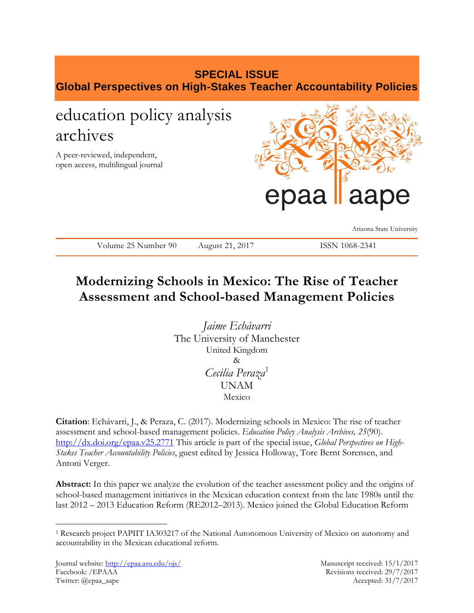# **SPECIAL ISSUE Global Perspectives on High-Stakes Teacher Accountability Policies**

# education policy analysis archives

A peer-reviewed, independent, open access, multilingual journal



Arizona State University

Volume 25 Number 90 August 21, 2017 ISSN 1068-2341

## **Modernizing Schools in Mexico: The Rise of Teacher Assessment and School-based Management Policies**

*Jaime Echávarri*  The University of Manchester United Kingdom & *Cecilia Peraza*<sup>1</sup> UNAM Mexico

**Citation**: Echávarri, J., & Peraza, C. (2017). Modernizing schools in Mexico: The rise of teacher assessment and school-based management policies. *Education Policy Analysis Archives, 25*(90). <http://dx.doi.org/epaa.v25.2771> This article is part of the special issue, *Global Perspectives on High-Stakes Teacher Accountability Policies*, guest edited by Jessica Holloway, Tore Bernt Sorensen, and Antoni Verger.

**Abstract:** In this paper we analyze the evolution of the teacher assessment policy and the origins of school-based management initiatives in the Mexican education context from the late 1980s until the last 2012 – 2013 Education Reform (RE2012–2013). Mexico joined the Global Education Reform

 $\overline{a}$ 

<sup>1</sup> Research project PAPIIT IA303217 of the National Autonomous University of Mexico on autonomy and accountability in the Mexican educational reform.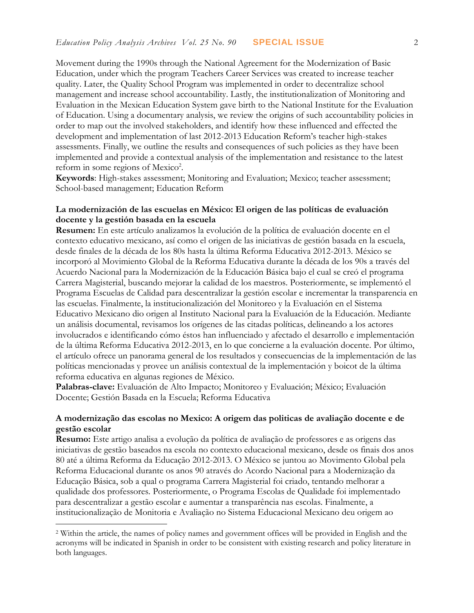Movement during the 1990s through the National Agreement for the Modernization of Basic Education, under which the program Teachers Career Services was created to increase teacher quality. Later, the Quality School Program was implemented in order to decentralize school management and increase school accountability. Lastly, the institutionalization of Monitoring and Evaluation in the Mexican Education System gave birth to the National Institute for the Evaluation of Education. Using a documentary analysis, we review the origins of such accountability policies in order to map out the involved stakeholders, and identify how these influenced and effected the development and implementation of last 2012-2013 Education Reform's teacher high-stakes assessments. Finally, we outline the results and consequences of such policies as they have been implemented and provide a contextual analysis of the implementation and resistance to the latest reform in some regions of Mexico<sup>2</sup>.

**Keywords**: High-stakes assessment; Monitoring and Evaluation; Mexico; teacher assessment; School-based management; Education Reform

## **La modernización de las escuelas en México: El origen de las políticas de evaluación docente y la gestión basada en la escuela**

**Resumen:** En este artículo analizamos la evolución de la política de evaluación docente en el contexto educativo mexicano, así como el origen de las iniciativas de gestión basada en la escuela, desde finales de la década de los 80s hasta la última Reforma Educativa 2012-2013. México se incorporó al Movimiento Global de la Reforma Educativa durante la década de los 90s a través del Acuerdo Nacional para la Modernización de la Educación Básica bajo el cual se creó el programa Carrera Magisterial, buscando mejorar la calidad de los maestros. Posteriormente, se implementó el Programa Escuelas de Calidad para descentralizar la gestión escolar e incrementar la transparencia en las escuelas. Finalmente, la institucionalización del Monitoreo y la Evaluación en el Sistema Educativo Mexicano dio origen al Instituto Nacional para la Evaluación de la Educación. Mediante un análisis documental, revisamos los orígenes de las citadas políticas, delineando a los actores involucrados e identificando cómo éstos han influenciado y afectado el desarrollo e implementación de la última Reforma Educativa 2012-2013, en lo que concierne a la evaluación docente. Por último, el artículo ofrece un panorama general de los resultados y consecuencias de la implementación de las políticas mencionadas y provee un análisis contextual de la implementación y boicot de la última reforma educativa en algunas regiones de México.

**Palabras-clave:** Evaluación de Alto Impacto; Monitoreo y Evaluación; México; Evaluación Docente; Gestión Basada en la Escuela; Reforma Educativa

## **A modernização das escolas no Mexico: A origem das politicas de avaliação docente e de gestão escolar**

**Resumo:** Este artigo analisa a evolução da política de avaliação de professores e as origens das iniciativas de gestão baseados na escola no contexto educacional mexicano, desde os finais dos anos 80 até a última Reforma da Educação 2012-2013. O México se juntou ao Movimento Global pela Reforma Educacional durante os anos 90 através do Acordo Nacional para a Modernização da Educação Básica, sob a qual o programa Carrera Magisterial foi criado, tentando melhorar a qualidade dos professores. Posteriormente, o Programa Escolas de Qualidade foi implementado para descentralizar a gestão escolar e aumentar a transparência nas escolas. Finalmente, a institucionalização de Monitoria e Avaliação no Sistema Educacional Mexicano deu origem ao

 $\overline{a}$ 

<sup>2</sup> Within the article, the names of policy names and government offices will be provided in English and the acronyms will be indicated in Spanish in order to be consistent with existing research and policy literature in both languages.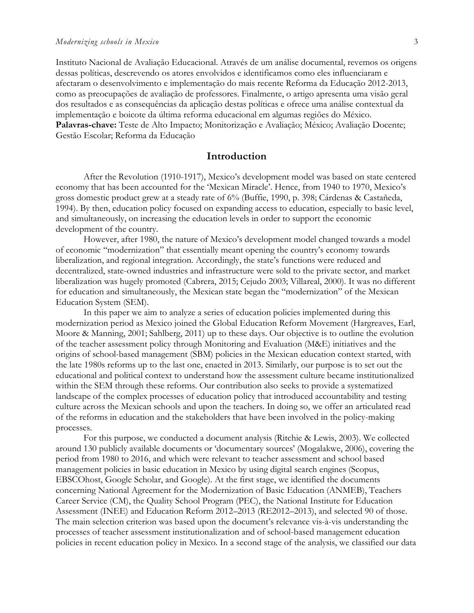Instituto Nacional de Avaliação Educacional. Através de um análise documental, revemos os origens dessas políticas, descrevendo os atores envolvidos e identificamos como eles influenciaram e afectaram o desenvolvimento e implementação do mais recente Reforma da Educação 2012-2013, como as preocupações de avaliação de professores. Finalmente, o artigo apresenta uma visão geral dos resultados e as consequências da aplicação destas políticas e ofrece uma análise contextual da implementação e boicote da última reforma educacional em algumas regiões do México. **Palavras-chave:** Teste de Alto Impacto; Monitorização e Avaliação; México; Avaliação Docente; Gestão Escolar; Reforma da Educação

### **Introduction**

After the Revolution (1910-1917), Mexico's development model was based on state centered economy that has been accounted for the 'Mexican Miracle'. Hence, from 1940 to 1970, Mexico's gross domestic product grew at a steady rate of 6% (Buffie, 1990, p. 398; Cárdenas & Castañeda, 1994). By then, education policy focused on expanding access to education, especially to basic level, and simultaneously, on increasing the education levels in order to support the economic development of the country.

However, after 1980, the nature of Mexico's development model changed towards a model of economic "modernization" that essentially meant opening the country's economy towards liberalization, and regional integration. Accordingly, the state's functions were reduced and decentralized, state-owned industries and infrastructure were sold to the private sector, and market liberalization was hugely promoted (Cabrera, 2015; Cejudo 2003; Villareal, 2000). It was no different for education and simultaneously, the Mexican state began the "modernization" of the Mexican Education System (SEM).

In this paper we aim to analyze a series of education policies implemented during this modernization period as Mexico joined the Global Education Reform Movement (Hargreaves, Earl, Moore & Manning, 2001; Sahlberg, 2011) up to these days. Our objective is to outline the evolution of the teacher assessment policy through Monitoring and Evaluation (M&E) initiatives and the origins of school-based management (SBM) policies in the Mexican education context started, with the late 1980s reforms up to the last one, enacted in 2013. Similarly, our purpose is to set out the educational and political context to understand how the assessment culture became institutionalized within the SEM through these reforms. Our contribution also seeks to provide a systematized landscape of the complex processes of education policy that introduced accountability and testing culture across the Mexican schools and upon the teachers. In doing so, we offer an articulated read of the reforms in education and the stakeholders that have been involved in the policy-making processes.

For this purpose, we conducted a document analysis (Ritchie & Lewis, 2003). We collected around 130 publicly available documents or 'documentary sources' (Mogalakwe, 2006), covering the period from 1980 to 2016, and which were relevant to teacher assessment and school based management policies in basic education in Mexico by using digital search engines (Scopus, EBSCOhost, Google Scholar, and Google). At the first stage, we identified the documents concerning National Agreement for the Modernization of Basic Education (ANMEB), Teachers Career Service (CM), the Quality School Program (PEC), the National Institute for Education Assessment (INEE) and Education Reform 2012–2013 (RE2012–2013), and selected 90 of those. The main selection criterion was based upon the document's relevance vis-à-vis understanding the processes of teacher assessment institutionalization and of school-based management education policies in recent education policy in Mexico. In a second stage of the analysis, we classified our data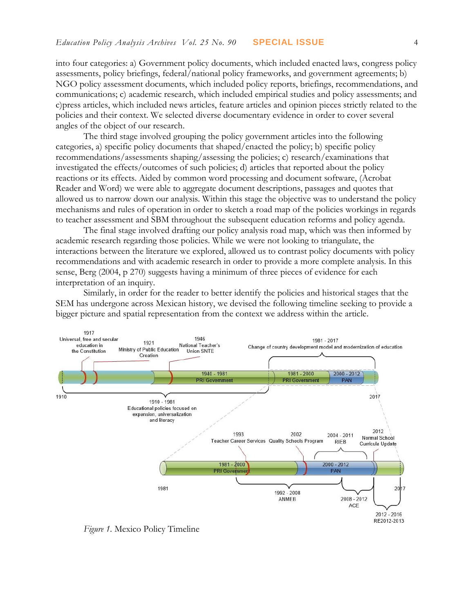into four categories: a) Government policy documents, which included enacted laws, congress policy assessments, policy briefings, federal/national policy frameworks, and government agreements; b) NGO policy assessment documents, which included policy reports, briefings, recommendations, and communications; c) academic research, which included empirical studies and policy assessments; and c)press articles, which included news articles, feature articles and opinion pieces strictly related to the policies and their context. We selected diverse documentary evidence in order to cover several angles of the object of our research.

The third stage involved grouping the policy government articles into the following categories, a) specific policy documents that shaped/enacted the policy; b) specific policy recommendations/assessments shaping/assessing the policies; c) research/examinations that investigated the effects/outcomes of such policies; d) articles that reported about the policy reactions or its effects. Aided by common word processing and document software, (Acrobat Reader and Word) we were able to aggregate document descriptions, passages and quotes that allowed us to narrow down our analysis. Within this stage the objective was to understand the policy mechanisms and rules of operation in order to sketch a road map of the policies workings in regards to teacher assessment and SBM throughout the subsequent education reforms and policy agenda.

The final stage involved drafting our policy analysis road map, which was then informed by academic research regarding those policies. While we were not looking to triangulate, the interactions between the literature we explored, allowed us to contrast policy documents with policy recommendations and with academic research in order to provide a more complete analysis. In this sense, Berg (2004, p 270) suggests having a minimum of three pieces of evidence for each interpretation of an inquiry.

Similarly, in order for the reader to better identify the policies and historical stages that the SEM has undergone across Mexican history, we devised the following timeline seeking to provide a bigger picture and spatial representation from the context we address within the article.



*Figure 1.* Mexico Policy Timeline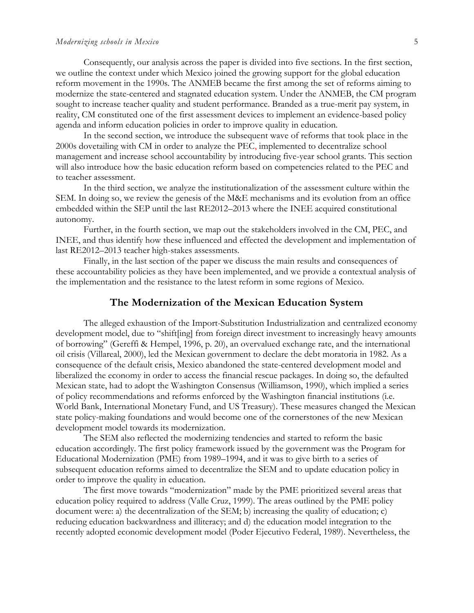#### *Modernizing schools in Mexico* 5

Consequently, our analysis across the paper is divided into five sections. In the first section, we outline the context under which Mexico joined the growing support for the global education reform movement in the 1990s. The ANMEB became the first among the set of reforms aiming to modernize the state-centered and stagnated education system. Under the ANMEB, the CM program sought to increase teacher quality and student performance. Branded as a true-merit pay system, in reality, CM constituted one of the first assessment devices to implement an evidence-based policy agenda and inform education policies in order to improve quality in education.

In the second section, we introduce the subsequent wave of reforms that took place in the 2000s dovetailing with CM in order to analyze the PEC, implemented to decentralize school management and increase school accountability by introducing five-year school grants. This section will also introduce how the basic education reform based on competencies related to the PEC and to teacher assessment.

In the third section, we analyze the institutionalization of the assessment culture within the SEM. In doing so, we review the genesis of the M&E mechanisms and its evolution from an office embedded within the SEP until the last RE2012–2013 where the INEE acquired constitutional autonomy.

Further, in the fourth section, we map out the stakeholders involved in the CM, PEC, and INEE, and thus identify how these influenced and effected the development and implementation of last RE2012–2013 teacher high-stakes assessments.

Finally, in the last section of the paper we discuss the main results and consequences of these accountability policies as they have been implemented, and we provide a contextual analysis of the implementation and the resistance to the latest reform in some regions of Mexico.

## **The Modernization of the Mexican Education System**

The alleged exhaustion of the Import-Substitution Industrialization and centralized economy development model, due to "shift[ing] from foreign direct investment to increasingly heavy amounts of borrowing" (Gereffi & Hempel, 1996, p. 20), an overvalued exchange rate, and the international oil crisis (Villareal, 2000), led the Mexican government to declare the debt moratoria in 1982. As a consequence of the default crisis, Mexico abandoned the state-centered development model and liberalized the economy in order to access the financial rescue packages. In doing so, the defaulted Mexican state, had to adopt the Washington Consensus (Williamson, 1990), which implied a series of policy recommendations and reforms enforced by the Washington financial institutions (i.e. World Bank, International Monetary Fund, and US Treasury). These measures changed the Mexican state policy-making foundations and would become one of the cornerstones of the new Mexican development model towards its modernization.

The SEM also reflected the modernizing tendencies and started to reform the basic education accordingly. The first policy framework issued by the government was the Program for Educational Modernization (PME) from 1989–1994, and it was to give birth to a series of subsequent education reforms aimed to decentralize the SEM and to update education policy in order to improve the quality in education.

The first move towards "modernization" made by the PME prioritized several areas that education policy required to address (Valle Cruz, 1999). The areas outlined by the PME policy document were: a) the decentralization of the SEM; b) increasing the quality of education; c) reducing education backwardness and illiteracy; and d) the education model integration to the recently adopted economic development model (Poder Ejecutivo Federal, 1989). Nevertheless, the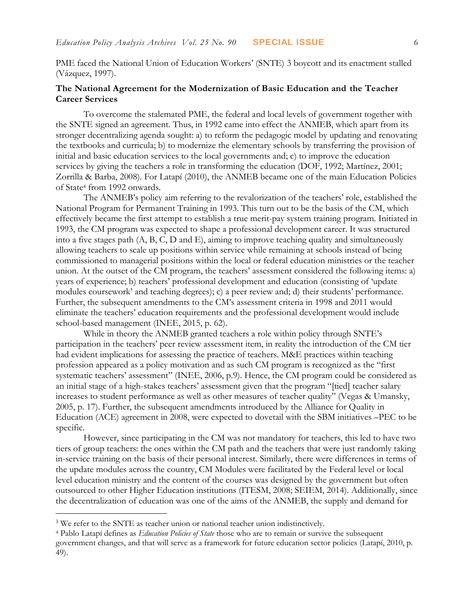PME faced the National Union of Education Workers' (SNTE) 3 boycott and its enactment stalled (Vázquez, 1997).

## **The National Agreement for the Modernization of Basic Education and the Teacher Career Services**

To overcome the stalemated PME, the federal and local levels of government together with the SNTE signed an agreement. Thus, in 1992 came into effect the ANMEB, which apart from its stronger decentralizing agenda sought: a) to reform the pedagogic model by updating and renovating the textbooks and curricula; b) to modernize the elementary schools by transferring the provision of initial and basic education services to the local governments and; c) to improve the education services by giving the teachers a role in transforming the education (DOF, 1992; Martínez, 2001; Zorrilla & Barba, 2008). For Latapí (2010), the ANMEB became one of the main Education Policies of State<sup>4</sup> from 1992 onwards.

The ANMEB's policy aim referring to the revalorization of the teachers' role, established the National Program for Permanent Training in 1993. This turn out to be the basis of the CM, which effectively became the first attempt to establish a true merit-pay system training program. Initiated in 1993, the CM program was expected to shape a professional development career. It was structured into a five stages path (A, B, C, D and E), aiming to improve teaching quality and simultaneously allowing teachers to scale up positions within service while remaining at schools instead of being commissioned to managerial positions within the local or federal education ministries or the teacher union. At the outset of the CM program, the teachers' assessment considered the following items: a) years of experience; b) teachers' professional development and education (consisting of 'update modules coursework' and teaching degrees); c) a peer review and; d) their students' performance. Further, the subsequent amendments to the CM's assessment criteria in 1998 and 2011 would eliminate the teachers' education requirements and the professional development would include school-based management (INEE, 2015, p. 62).

While in theory the ANMEB granted teachers a role within policy through SNTE's participation in the teachers' peer review assessment item, in reality the introduction of the CM tier had evident implications for assessing the practice of teachers. M&E practices within teaching profession appeared as a policy motivation and as such CM program is recognized as the "first systematic teachers' assessment" (INEE, 2006, p.9). Hence, the CM program could be considered as an initial stage of a high-stakes teachers' assessment given that the program "[tied] teacher salary increases to student performance as well as other measures of teacher quality" (Vegas & Umansky, 2005, p. 17). Further, the subsequent amendments introduced by the Alliance for Quality in Education (ACE) agreement in 2008, were expected to dovetail with the SBM initiatives –PEC to be specific.

However, since participating in the CM was not mandatory for teachers, this led to have two tiers of group teachers: the ones within the CM path and the teachers that were just randomly taking in-service training on the basis of their personal interest. Similarly, there were differences in terms of the update modules across the country, CM Modules were facilitated by the Federal level or local level education ministry and the content of the courses was designed by the government but often outsourced to other Higher Education institutions (ITESM, 2008; SEIEM, 2014). Additionally, since the decentralization of education was one of the aims of the ANMEB, the supply and demand for

 $\overline{a}$ 

<sup>&</sup>lt;sup>3</sup> We refer to the SNTE as teacher union or national teacher union indistinctively.

<sup>4</sup> Pablo Latapí defines as *Education Policies of State* those who are to remain or survive the subsequent government changes, and that will serve as a framework for future education sector policies (Latapí, 2010, p. 49).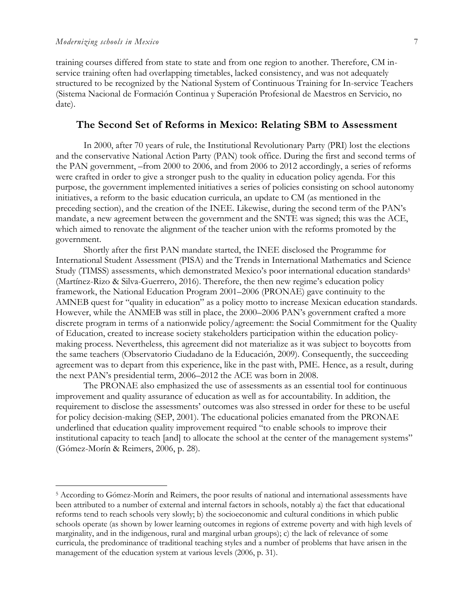$\overline{a}$ 

training courses differed from state to state and from one region to another. Therefore, CM inservice training often had overlapping timetables, lacked consistency, and was not adequately structured to be recognized by the National System of Continuous Training for In-service Teachers (Sistema Nacional de Formación Continua y Superación Profesional de Maestros en Servicio, no date).

## **The Second Set of Reforms in Mexico: Relating SBM to Assessment**

In 2000, after 70 years of rule, the Institutional Revolutionary Party (PRI) lost the elections and the conservative National Action Party (PAN) took office. During the first and second terms of the PAN government, –from 2000 to 2006, and from 2006 to 2012 accordingly, a series of reforms were crafted in order to give a stronger push to the quality in education policy agenda. For this purpose, the government implemented initiatives a series of policies consisting on school autonomy initiatives, a reform to the basic education curricula, an update to CM (as mentioned in the preceding section), and the creation of the INEE. Likewise, during the second term of the PAN's mandate, a new agreement between the government and the SNTE was signed; this was the ACE, which aimed to renovate the alignment of the teacher union with the reforms promoted by the government.

Shortly after the first PAN mandate started, the INEE disclosed the Programme for International Student Assessment (PISA) and the Trends in International Mathematics and Science Study (TIMSS) assessments, which demonstrated Mexico's poor international education standards<sup>5</sup> (Martínez-Rizo & Silva-Guerrero, 2016). Therefore, the then new regime's education policy framework, the National Education Program 2001–2006 (PRONAE) gave continuity to the AMNEB quest for "quality in education" as a policy motto to increase Mexican education standards. However, while the ANMEB was still in place, the 2000–2006 PAN's government crafted a more discrete program in terms of a nationwide policy/agreement: the Social Commitment for the Quality of Education, created to increase society stakeholders participation within the education policymaking process. Nevertheless, this agreement did not materialize as it was subject to boycotts from the same teachers (Observatorio Ciudadano de la Educación, 2009). Consequently, the succeeding agreement was to depart from this experience, like in the past with, PME. Hence, as a result, during the next PAN's presidential term, 2006–2012 the ACE was born in 2008.

The PRONAE also emphasized the use of assessments as an essential tool for continuous improvement and quality assurance of education as well as for accountability. In addition, the requirement to disclose the assessments' outcomes was also stressed in order for these to be useful for policy decision-making (SEP, 2001). The educational policies emanated from the PRONAE underlined that education quality improvement required "to enable schools to improve their institutional capacity to teach [and] to allocate the school at the center of the management systems" (Gómez-Morín & Reimers, 2006, p. 28).

<sup>5</sup> According to Gómez-Morín and Reimers, the poor results of national and international assessments have been attributed to a number of external and internal factors in schools, notably a) the fact that educational reforms tend to reach schools very slowly; b) the socioeconomic and cultural conditions in which public schools operate (as shown by lower learning outcomes in regions of extreme poverty and with high levels of marginality, and in the indigenous, rural and marginal urban groups); c) the lack of relevance of some curricula, the predominance of traditional teaching styles and a number of problems that have arisen in the management of the education system at various levels (2006, p. 31).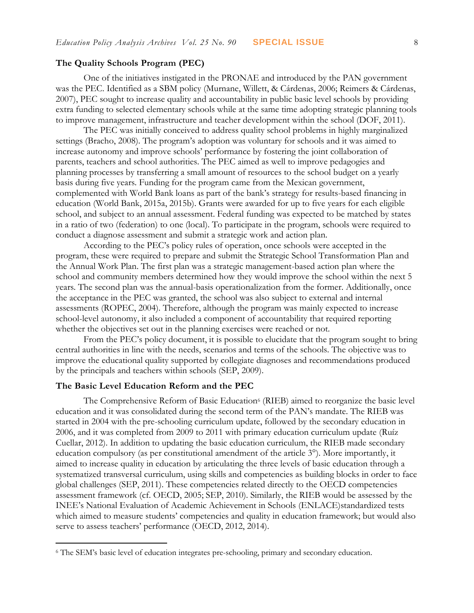#### **The Quality Schools Program (PEC)**

One of the initiatives instigated in the PRONAE and introduced by the PAN government was the PEC. Identified as a SBM policy (Murnane, Willett, & Cárdenas, 2006; Reimers & Cárdenas, 2007), PEC sought to increase quality and accountability in public basic level schools by providing extra funding to selected elementary schools while at the same time adopting strategic planning tools to improve management, infrastructure and teacher development within the school (DOF, 2011).

The PEC was initially conceived to address quality school problems in highly marginalized settings (Bracho, 2008). The program's adoption was voluntary for schools and it was aimed to increase autonomy and improve schools' performance by fostering the joint collaboration of parents, teachers and school authorities. The PEC aimed as well to improve pedagogies and planning processes by transferring a small amount of resources to the school budget on a yearly basis during five years. Funding for the program came from the Mexican government, complemented with World Bank loans as part of the bank's strategy for results-based financing in education (World Bank, 2015a, 2015b). Grants were awarded for up to five years for each eligible school, and subject to an annual assessment. Federal funding was expected to be matched by states in a ratio of two (federation) to one (local). To participate in the program, schools were required to conduct a diagnose assessment and submit a strategic work and action plan.

According to the PEC's policy rules of operation, once schools were accepted in the program, these were required to prepare and submit the Strategic School Transformation Plan and the Annual Work Plan. The first plan was a strategic management-based action plan where the school and community members determined how they would improve the school within the next 5 years. The second plan was the annual-basis operationalization from the former. Additionally, once the acceptance in the PEC was granted, the school was also subject to external and internal assessments (ROPEC, 2004). Therefore, although the program was mainly expected to increase school-level autonomy, it also included a component of accountability that required reporting whether the objectives set out in the planning exercises were reached or not.

From the PEC's policy document, it is possible to elucidate that the program sought to bring central authorities in line with the needs, scenarios and terms of the schools. The objective was to improve the educational quality supported by collegiate diagnoses and recommendations produced by the principals and teachers within schools (SEP, 2009).

#### **The Basic Level Education Reform and the PEC**

 $\overline{a}$ 

The Comprehensive Reform of Basic Education<sup>6</sup> (RIEB) aimed to reorganize the basic level education and it was consolidated during the second term of the PAN's mandate. The RIEB was started in 2004 with the pre-schooling curriculum update, followed by the secondary education in 2006, and it was completed from 2009 to 2011 with primary education curriculum update (Ruíz Cuellar, 2012). In addition to updating the basic education curriculum, the RIEB made secondary education compulsory (as per constitutional amendment of the article 3°). More importantly, it aimed to increase quality in education by articulating the three levels of basic education through a systematized transversal curriculum, using skills and competencies as building blocks in order to face global challenges (SEP, 2011). These competencies related directly to the OECD competencies assessment framework (cf. OECD, 2005; SEP, 2010). Similarly, the RIEB would be assessed by the INEE's National Evaluation of Academic Achievement in Schools (ENLACE)standardized tests which aimed to measure students' competencies and quality in education framework; but would also serve to assess teachers' performance (OECD, 2012, 2014).

<sup>&</sup>lt;sup>6</sup> The SEM's basic level of education integrates pre-schooling, primary and secondary education.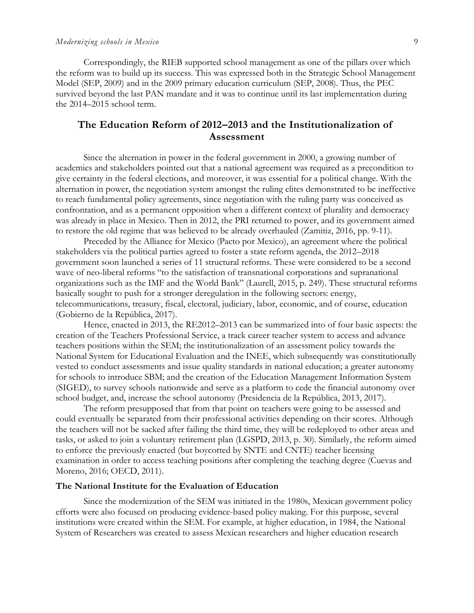Correspondingly, the RIEB supported school management as one of the pillars over which the reform was to build up its success. This was expressed both in the Strategic School Management Model (SEP, 2009) and in the 2009 primary education curriculum (SEP, 2008). Thus, the PEC survived beyond the last PAN mandate and it was to continue until its last implementation during the 2014–2015 school term.

## **The Education Reform of 2012–2013 and the Institutionalization of Assessment**

Since the alternation in power in the federal government in 2000, a growing number of academics and stakeholders pointed out that a national agreement was required as a precondition to give certainty in the federal elections, and moreover, it was essential for a political change. With the alternation in power, the negotiation system amongst the ruling elites demonstrated to be ineffective to reach fundamental policy agreements, since negotiation with the ruling party was conceived as confrontation, and as a permanent opposition when a different context of plurality and democracy was already in place in Mexico. Then in 2012, the PRI returned to power, and its government aimed to restore the old regime that was believed to be already overhauled (Zamitiz, 2016, pp. 9-11).

Preceded by the Alliance for Mexico (Pacto por Mexico), an agreement where the political stakeholders via the political parties agreed to foster a state reform agenda, the 2012–2018 government soon launched a series of 11 structural reforms. These were considered to be a second wave of neo-liberal reforms "to the satisfaction of transnational corporations and supranational organizations such as the IMF and the World Bank" (Laurell, 2015, p. 249). These structural reforms basically sought to push for a stronger deregulation in the following sectors: energy, telecommunications, treasury, fiscal, electoral, judiciary, labor, economic, and of course, education (Gobierno de la República, 2017).

Hence, enacted in 2013, the RE2012–2013 can be summarized into of four basic aspects: the creation of the Teachers Professional Service, a track career teacher system to access and advance teachers positions within the SEM; the institutionalization of an assessment policy towards the National System for Educational Evaluation and the INEE, which subsequently was constitutionally vested to conduct assessments and issue quality standards in national education; a greater autonomy for schools to introduce SBM; and the creation of the Education Management Information System (SIGED), to survey schools nationwide and serve as a platform to cede the financial autonomy over school budget, and, increase the school autonomy (Presidencia de la República, 2013, 2017).

The reform presupposed that from that point on teachers were going to be assessed and could eventually be separated from their professional activities depending on their scores. Although the teachers will not be sacked after failing the third time, they will be redeployed to other areas and tasks, or asked to join a voluntary retirement plan (LGSPD, 2013, p. 30). Similarly, the reform aimed to enforce the previously enacted (but boycotted by SNTE and CNTE) teacher licensing examination in order to access teaching positions after completing the teaching degree (Cuevas and Moreno, 2016; OECD, 2011).

### **The National Institute for the Evaluation of Education**

Since the modernization of the SEM was initiated in the 1980s, Mexican government policy efforts were also focused on producing evidence-based policy making. For this purpose, several institutions were created within the SEM. For example, at higher education, in 1984, the National System of Researchers was created to assess Mexican researchers and higher education research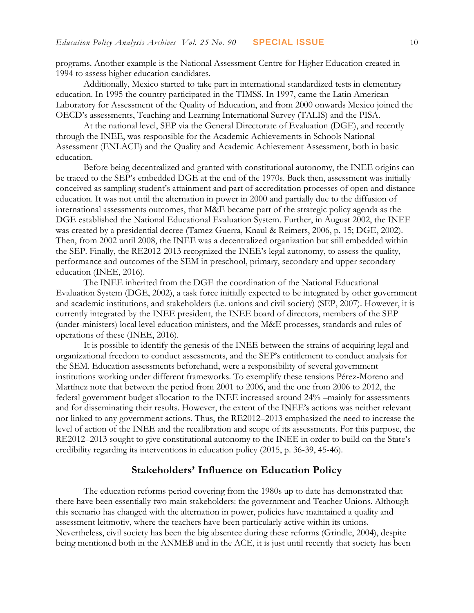programs. Another example is the National Assessment Centre for Higher Education created in 1994 to assess higher education candidates.

Additionally, Mexico started to take part in international standardized tests in elementary education. In 1995 the country participated in the TIMSS. In 1997, came the Latin American Laboratory for Assessment of the Quality of Education, and from 2000 onwards Mexico joined the OECD's assessments, Teaching and Learning International Survey (TALIS) and the PISA.

At the national level, SEP via the General Directorate of Evaluation (DGE), and recently through the INEE, was responsible for the Academic Achievements in Schools National Assessment (ENLACE) and the Quality and Academic Achievement Assessment, both in basic education.

Before being decentralized and granted with constitutional autonomy, the INEE origins can be traced to the SEP's embedded DGE at the end of the 1970s. Back then, assessment was initially conceived as sampling student's attainment and part of accreditation processes of open and distance education. It was not until the alternation in power in 2000 and partially due to the diffusion of international assessments outcomes, that M&E became part of the strategic policy agenda as the DGE established the National Educational Evaluation System. Further, in August 2002, the INEE was created by a presidential decree (Tamez Guerra, Knaul & Reimers, 2006, p. 15; DGE, 2002). Then, from 2002 until 2008, the INEE was a decentralized organization but still embedded within the SEP. Finally, the RE2012-2013 recognized the INEE's legal autonomy, to assess the quality, performance and outcomes of the SEM in preschool, primary, secondary and upper secondary education (INEE, 2016).

The INEE inherited from the DGE the coordination of the National Educational Evaluation System (DGE, 2002), a task force initially expected to be integrated by other government and academic institutions, and stakeholders (i.e. unions and civil society) (SEP, 2007). However, it is currently integrated by the INEE president, the INEE board of directors, members of the SEP (under-ministers) local level education ministers, and the M&E processes, standards and rules of operations of these (INEE, 2016).

It is possible to identify the genesis of the INEE between the strains of acquiring legal and organizational freedom to conduct assessments, and the SEP's entitlement to conduct analysis for the SEM. Education assessments beforehand, were a responsibility of several government institutions working under different frameworks. To exemplify these tensions Pérez-Moreno and Martínez note that between the period from 2001 to 2006, and the one from 2006 to 2012, the federal government budget allocation to the INEE increased around 24% –mainly for assessments and for disseminating their results. However, the extent of the INEE's actions was neither relevant nor linked to any government actions. Thus, the RE2012–2013 emphasized the need to increase the level of action of the INEE and the recalibration and scope of its assessments. For this purpose, the RE2012–2013 sought to give constitutional autonomy to the INEE in order to build on the State's credibility regarding its interventions in education policy (2015, p. 36-39, 45-46).

## **Stakeholders' Influence on Education Policy**

The education reforms period covering from the 1980s up to date has demonstrated that there have been essentially two main stakeholders: the government and Teacher Unions. Although this scenario has changed with the alternation in power, policies have maintained a quality and assessment leitmotiv, where the teachers have been particularly active within its unions. Nevertheless, civil society has been the big absentee during these reforms (Grindle, 2004), despite being mentioned both in the ANMEB and in the ACE, it is just until recently that society has been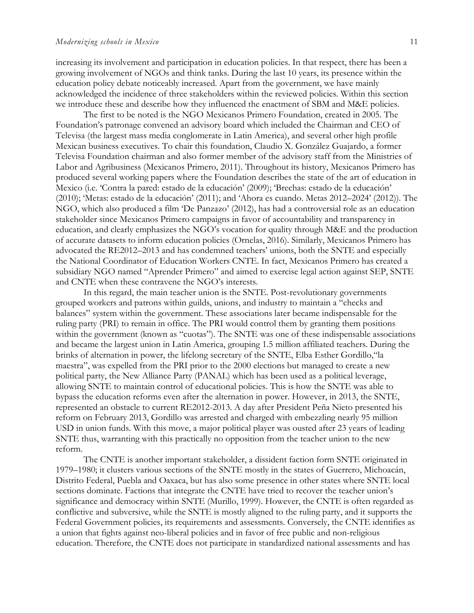increasing its involvement and participation in education policies. In that respect, there has been a growing involvement of NGOs and think tanks. During the last 10 years, its presence within the education policy debate noticeably increased. Apart from the government, we have mainly acknowledged the incidence of three stakeholders within the reviewed policies. Within this section we introduce these and describe how they influenced the enactment of SBM and M&E policies.

The first to be noted is the NGO Mexicanos Primero Foundation, created in 2005. The Foundation's patronage convened an advisory board which included the Chairman and CEO of Televisa (the largest mass media conglomerate in Latin America), and several other high profile Mexican business executives. To chair this foundation, Claudio X. González Guajardo, a former Televisa Foundation chairman and also former member of the advisory staff from the Ministries of Labor and Agribusiness (Mexicanos Primero, 2011). Throughout its history, Mexicanos Primero has produced several working papers where the Foundation describes the state of the art of education in Mexico (i.e. 'Contra la pared: estado de la educación' (2009); 'Brechas: estado de la educación' (2010); 'Metas: estado de la educación' (2011); and 'Ahora es cuando. Metas 2012–2024' (2012)). The NGO, which also produced a film 'De Panzazo' (2012), has had a controversial role as an education stakeholder since Mexicanos Primero campaigns in favor of accountability and transparency in education, and clearly emphasizes the NGO's vocation for quality through M&E and the production of accurate datasets to inform education policies (Ornelas, 2016). Similarly, Mexicanos Primero has advocated the RE2012–2013 and has condemned teachers' unions, both the SNTE and especially the National Coordinator of Education Workers CNTE. In fact, Mexicanos Primero has created a subsidiary NGO named "Aprender Primero" and aimed to exercise legal action against SEP, SNTE and CNTE when these contravene the NGO's interests.

In this regard, the main teacher union is the SNTE. Post-revolutionary governments grouped workers and patrons within guilds, unions, and industry to maintain a "checks and balances" system within the government. These associations later became indispensable for the ruling party (PRI) to remain in office. The PRI would control them by granting them positions within the government (known as "cuotas"). The SNTE was one of these indispensable associations and became the largest union in Latin America, grouping 1.5 million affiliated teachers. During the brinks of alternation in power, the lifelong secretary of the SNTE, Elba Esther Gordillo,"la maestra", was expelled from the PRI prior to the 2000 elections but managed to create a new political party, the New Alliance Party (PANAL) which has been used as a political leverage, allowing SNTE to maintain control of educational policies. This is how the SNTE was able to bypass the education reforms even after the alternation in power. However, in 2013, the SNTE, represented an obstacle to current RE2012-2013. A day after President Peña Nieto presented his reform on February 2013, Gordillo was arrested and charged with embezzling nearly 95 million USD in union funds. With this move, a major political player was ousted after 23 years of leading SNTE thus, warranting with this practically no opposition from the teacher union to the new reform.

The CNTE is another important stakeholder, a dissident faction form SNTE originated in 1979–1980; it clusters various sections of the SNTE mostly in the states of Guerrero, Michoacán, Distrito Federal, Puebla and Oaxaca, but has also some presence in other states where SNTE local sections dominate. Factions that integrate the CNTE have tried to recover the teacher union's significance and democracy within SNTE (Murillo, 1999). However, the CNTE is often regarded as conflictive and subversive, while the SNTE is mostly aligned to the ruling party, and it supports the Federal Government policies, its requirements and assessments. Conversely, the CNTE identifies as a union that fights against neo-liberal policies and in favor of free public and non-religious education. Therefore, the CNTE does not participate in standardized national assessments and has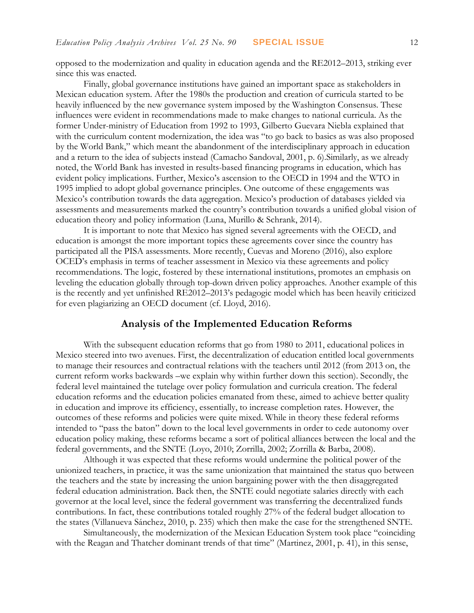opposed to the modernization and quality in education agenda and the RE2012–2013, striking ever since this was enacted.

Finally, global governance institutions have gained an important space as stakeholders in Mexican education system. After the 1980s the production and creation of curricula started to be heavily influenced by the new governance system imposed by the Washington Consensus. These influences were evident in recommendations made to make changes to national curricula. As the former Under-ministry of Education from 1992 to 1993, Gilberto Guevara Niebla explained that with the curriculum content modernization, the idea was "to go back to basics as was also proposed by the World Bank," which meant the abandonment of the interdisciplinary approach in education and a return to the idea of subjects instead (Camacho Sandoval, 2001, p. 6).Similarly, as we already noted, the World Bank has invested in results-based financing programs in education, which has evident policy implications. Further, Mexico's ascension to the OECD in 1994 and the WTO in 1995 implied to adopt global governance principles. One outcome of these engagements was Mexico's contribution towards the data aggregation. Mexico's production of databases yielded via assessments and measurements marked the country's contribution towards a unified global vision of education theory and policy information (Luna, Murillo & Schrank, 2014).

It is important to note that Mexico has signed several agreements with the OECD, and education is amongst the more important topics these agreements cover since the country has participated all the PISA assessments. More recently, Cuevas and Moreno (2016), also explore OCED's emphasis in terms of teacher assessment in Mexico via these agreements and policy recommendations. The logic, fostered by these international institutions, promotes an emphasis on leveling the education globally through top-down driven policy approaches. Another example of this is the recently and yet unfinished RE2012–2013's pedagogic model which has been heavily criticized for even plagiarizing an OECD document (cf. Lloyd, 2016).

## **Analysis of the Implemented Education Reforms**

With the subsequent education reforms that go from 1980 to 2011, educational polices in Mexico steered into two avenues. First, the decentralization of education entitled local governments to manage their resources and contractual relations with the teachers until 2012 (from 2013 on, the current reform works backwards –we explain why within further down this section). Secondly, the federal level maintained the tutelage over policy formulation and curricula creation. The federal education reforms and the education policies emanated from these, aimed to achieve better quality in education and improve its efficiency, essentially, to increase completion rates. However, the outcomes of these reforms and policies were quite mixed. While in theory these federal reforms intended to "pass the baton" down to the local level governments in order to cede autonomy over education policy making, these reforms became a sort of political alliances between the local and the federal governments, and the SNTE (Loyo, 2010; Zorrilla, 2002; Zorrilla & Barba, 2008).

Although it was expected that these reforms would undermine the political power of the unionized teachers, in practice, it was the same unionization that maintained the status quo between the teachers and the state by increasing the union bargaining power with the then disaggregated federal education administration. Back then, the SNTE could negotiate salaries directly with each governor at the local level, since the federal government was transferring the decentralized funds contributions. In fact, these contributions totaled roughly 27% of the federal budget allocation to the states (Villanueva Sánchez, 2010, p. 235) which then make the case for the strengthened SNTE.

Simultaneously, the modernization of the Mexican Education System took place "coinciding with the Reagan and Thatcher dominant trends of that time" (Martinez, 2001, p. 41), in this sense,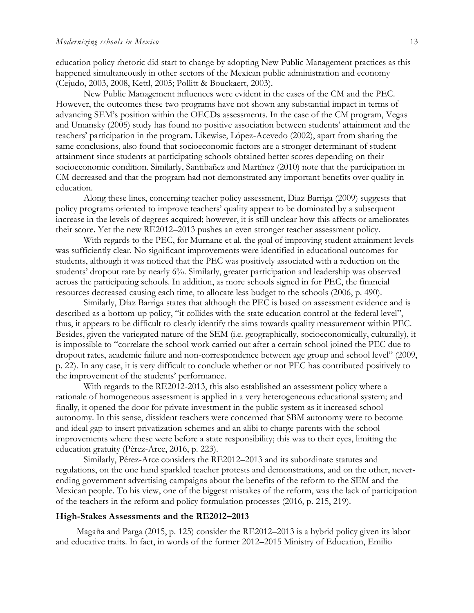education policy rhetoric did start to change by adopting New Public Management practices as this happened simultaneously in other sectors of the Mexican public administration and economy (Cejudo, 2003, 2008, Kettl, 2005; Pollitt & Bouckaert, 2003).

New Public Management influences were evident in the cases of the CM and the PEC. However, the outcomes these two programs have not shown any substantial impact in terms of advancing SEM's position within the OECDs assessments. In the case of the CM program, Vegas and Umansky (2005) study has found no positive association between students' attainment and the teachers' participation in the program. Likewise, López-Acevedo (2002), apart from sharing the same conclusions, also found that socioeconomic factors are a stronger determinant of student attainment since students at participating schools obtained better scores depending on their socioeconomic condition. Similarly, Santibañez and Martínez (2010) note that the participation in CM decreased and that the program had not demonstrated any important benefits over quality in education.

Along these lines, concerning teacher policy assessment, Diaz Barriga (2009) suggests that policy programs oriented to improve teachers' quality appear to be dominated by a subsequent increase in the levels of degrees acquired; however, it is still unclear how this affects or ameliorates their score. Yet the new RE2012–2013 pushes an even stronger teacher assessment policy.

With regards to the PEC, for Murnane et al. the goal of improving student attainment levels was sufficiently clear. No significant improvements were identified in educational outcomes for students, although it was noticed that the PEC was positively associated with a reduction on the students' dropout rate by nearly 6%. Similarly, greater participation and leadership was observed across the participating schools. In addition, as more schools signed in for PEC, the financial resources decreased causing each time, to allocate less budget to the schools (2006, p. 490).

Similarly, Díaz Barriga states that although the PEC is based on assessment evidence and is described as a bottom-up policy, "it collides with the state education control at the federal level", thus, it appears to be difficult to clearly identify the aims towards quality measurement within PEC. Besides, given the variegated nature of the SEM (i.e. geographically, socioeconomically, culturally), it is impossible to "correlate the school work carried out after a certain school joined the PEC due to dropout rates, academic failure and non-correspondence between age group and school level" (2009, p. 22). In any case, it is very difficult to conclude whether or not PEC has contributed positively to the improvement of the students' performance.

With regards to the RE2012-2013, this also established an assessment policy where a rationale of homogeneous assessment is applied in a very heterogeneous educational system; and finally, it opened the door for private investment in the public system as it increased school autonomy. In this sense, dissident teachers were concerned that SBM autonomy were to become and ideal gap to insert privatization schemes and an alibi to charge parents with the school improvements where these were before a state responsibility; this was to their eyes, limiting the education gratuity (Pérez-Arce, 2016, p. 223).

Similarly, Pérez-Arce considers the RE2012–2013 and its subordinate statutes and regulations, on the one hand sparkled teacher protests and demonstrations, and on the other, neverending government advertising campaigns about the benefits of the reform to the SEM and the Mexican people. To his view, one of the biggest mistakes of the reform, was the lack of participation of the teachers in the reform and policy formulation processes (2016, p. 215, 219).

### **High-Stakes Assessments and the RE2012–2013**

Magaña and Parga (2015, p. 125) consider the RE2012–2013 is a hybrid policy given its labor and educative traits. In fact, in words of the former 2012–2015 Ministry of Education, Emilio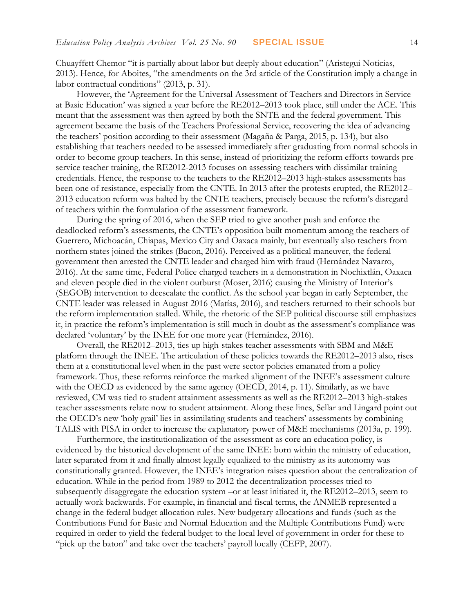Chuayffett Chemor "it is partially about labor but deeply about education" (Aristegui Noticias, 2013). Hence, for Aboites, "the amendments on the 3rd article of the Constitution imply a change in labor contractual conditions" (2013, p. 31).

However, the 'Agreement for the Universal Assessment of Teachers and Directors in Service at Basic Education' was signed a year before the RE2012–2013 took place, still under the ACE. This meant that the assessment was then agreed by both the SNTE and the federal government. This agreement became the basis of the Teachers Professional Service, recovering the idea of advancing the teachers' position according to their assessment (Magaña & Parga, 2015, p. 134), but also establishing that teachers needed to be assessed immediately after graduating from normal schools in order to become group teachers. In this sense, instead of prioritizing the reform efforts towards preservice teacher training, the RE2012-2013 focuses on assessing teachers with dissimilar training credentials. Hence, the response to the teachers to the RE2012–2013 high-stakes assessments has been one of resistance, especially from the CNTE. In 2013 after the protests erupted, the RE2012– 2013 education reform was halted by the CNTE teachers, precisely because the reform's disregard of teachers within the formulation of the assessment framework.

During the spring of 2016, when the SEP tried to give another push and enforce the deadlocked reform's assessments, the CNTE's opposition built momentum among the teachers of Guerrero, Michoacán, Chiapas, Mexico City and Oaxaca mainly, but eventually also teachers from northern states joined the strikes (Bacon, 2016). Perceived as a political maneuver, the federal government then arrested the CNTE leader and charged him with fraud (Hernández Navarro, 2016). At the same time, Federal Police charged teachers in a demonstration in Nochixtlán, Oaxaca and eleven people died in the violent outburst (Moser, 2016) causing the Ministry of Interior's (SEGOB) intervention to deescalate the conflict. As the school year began in early September, the CNTE leader was released in August 2016 (Matías, 2016), and teachers returned to their schools but the reform implementation stalled. While, the rhetoric of the SEP political discourse still emphasizes it, in practice the reform's implementation is still much in doubt as the assessment's compliance was declared 'voluntary' by the INEE for one more year (Hernández, 2016).

Overall, the RE2012–2013, ties up high-stakes teacher assessments with SBM and M&E platform through the INEE. The articulation of these policies towards the RE2012–2013 also, rises them at a constitutional level when in the past were sector policies emanated from a policy framework. Thus, these reforms reinforce the marked alignment of the INEE's assessment culture with the OECD as evidenced by the same agency (OECD, 2014, p. 11). Similarly, as we have reviewed, CM was tied to student attainment assessments as well as the RE2012–2013 high-stakes teacher assessments relate now to student attainment. Along these lines, Sellar and Lingard point out the OECD's new 'holy grail' lies in assimilating students and teachers' assessments by combining TALIS with PISA in order to increase the explanatory power of M&E mechanisms (2013a, p. 199).

Furthermore, the institutionalization of the assessment as core an education policy, is evidenced by the historical development of the same INEE: born within the ministry of education, later separated from it and finally almost legally equalized to the ministry as its autonomy was constitutionally granted. However, the INEE's integration raises question about the centralization of education. While in the period from 1989 to 2012 the decentralization processes tried to subsequently disaggregate the education system –or at least initiated it, the RE2012–2013, seem to actually work backwards. For example, in financial and fiscal terms, the ANMEB represented a change in the federal budget allocation rules. New budgetary allocations and funds (such as the Contributions Fund for Basic and Normal Education and the Multiple Contributions Fund) were required in order to yield the federal budget to the local level of government in order for these to "pick up the baton" and take over the teachers' payroll locally (CEFP, 2007).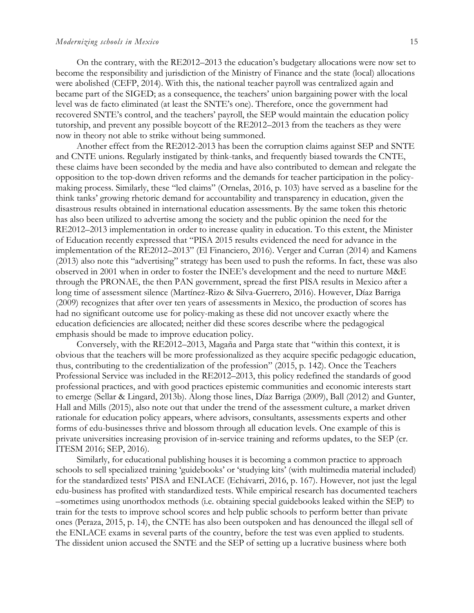#### *Modernizing schools in Mexico* 15

On the contrary, with the RE2012–2013 the education's budgetary allocations were now set to become the responsibility and jurisdiction of the Ministry of Finance and the state (local) allocations were abolished (CEFP, 2014). With this, the national teacher payroll was centralized again and became part of the SIGED; as a consequence, the teachers' union bargaining power with the local level was de facto eliminated (at least the SNTE's one). Therefore, once the government had recovered SNTE's control, and the teachers' payroll, the SEP would maintain the education policy tutorship, and prevent any possible boycott of the RE2012–2013 from the teachers as they were now in theory not able to strike without being summoned.

Another effect from the RE2012-2013 has been the corruption claims against SEP and SNTE and CNTE unions. Regularly instigated by think-tanks, and frequently biased towards the CNTE, these claims have been seconded by the media and have also contributed to demean and relegate the opposition to the top-down driven reforms and the demands for teacher participation in the policymaking process. Similarly, these "led claims" (Ornelas, 2016, p. 103) have served as a baseline for the think tanks' growing rhetoric demand for accountability and transparency in education, given the disastrous results obtained in international education assessments. By the same token this rhetoric has also been utilized to advertise among the society and the public opinion the need for the RE2012–2013 implementation in order to increase quality in education. To this extent, the Minister of Education recently expressed that "PISA 2015 results evidenced the need for advance in the implementation of the RE2012–2013" (El Financiero, 2016). Verger and Curran (2014) and Kamens (2013) also note this "advertising" strategy has been used to push the reforms. In fact, these was also observed in 2001 when in order to foster the INEE's development and the need to nurture M&E through the PRONAE, the then PAN government, spread the first PISA results in Mexico after a long time of assessment silence (Martínez-Rizo & Silva-Guerrero, 2016). However, Díaz Barriga (2009) recognizes that after over ten years of assessments in Mexico, the production of scores has had no significant outcome use for policy-making as these did not uncover exactly where the education deficiencies are allocated; neither did these scores describe where the pedagogical emphasis should be made to improve education policy.

Conversely, with the RE2012–2013, Magaña and Parga state that "within this context, it is obvious that the teachers will be more professionalized as they acquire specific pedagogic education, thus, contributing to the credentialization of the profession" (2015, p. 142). Once the Teachers Professional Service was included in the RE2012–2013, this policy redefined the standards of good professional practices, and with good practices epistemic communities and economic interests start to emerge (Sellar & Lingard, 2013b). Along those lines, Díaz Barriga (2009), Ball (2012) and Gunter, Hall and Mills (2015), also note out that under the trend of the assessment culture, a market driven rationale for education policy appears, where advisors, consultants, assessments experts and other forms of edu-businesses thrive and blossom through all education levels. One example of this is private universities increasing provision of in-service training and reforms updates, to the SEP (cr. ITESM 2016; SEP, 2016).

Similarly, for educational publishing houses it is becoming a common practice to approach schools to sell specialized training 'guidebooks' or 'studying kits' (with multimedia material included) for the standardized tests' PISA and ENLACE (Echávarri, 2016, p. 167). However, not just the legal edu-business has profited with standardized tests. While empirical research has documented teachers –sometimes using unorthodox methods (i.e. obtaining special guidebooks leaked within the SEP) to train for the tests to improve school scores and help public schools to perform better than private ones (Peraza, 2015, p. 14), the CNTE has also been outspoken and has denounced the illegal sell of the ENLACE exams in several parts of the country, before the test was even applied to students. The dissident union accused the SNTE and the SEP of setting up a lucrative business where both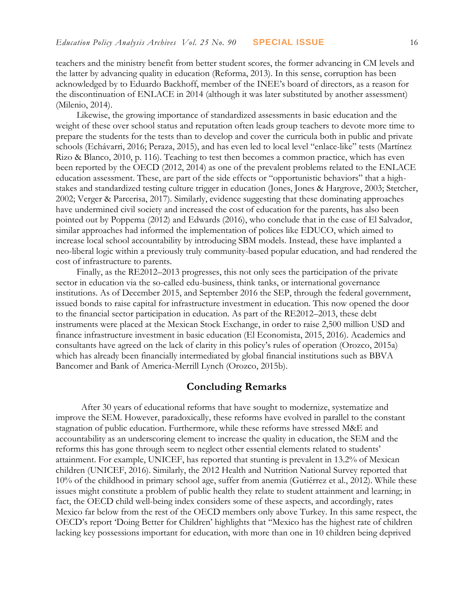teachers and the ministry benefit from better student scores, the former advancing in CM levels and the latter by advancing quality in education (Reforma, 2013). In this sense, corruption has been acknowledged by to Eduardo Backhoff, member of the INEE's board of directors, as a reason for the discontinuation of ENLACE in 2014 (although it was later substituted by another assessment) (Milenio, 2014).

Likewise, the growing importance of standardized assessments in basic education and the weight of these over school status and reputation often leads group teachers to devote more time to prepare the students for the tests than to develop and cover the curricula both in public and private schools (Echávarri, 2016; Peraza, 2015), and has even led to local level "enlace-like" tests (Martínez Rizo & Blanco, 2010, p. 116). Teaching to test then becomes a common practice, which has even been reported by the OECD (2012, 2014) as one of the prevalent problems related to the ENLACE education assessment. These, are part of the side effects or "opportunistic behaviors" that a highstakes and standardized testing culture trigger in education (Jones, Jones & Hargrove, 2003; Stetcher, 2002; Verger & Parcerisa, 2017). Similarly, evidence suggesting that these dominating approaches have undermined civil society and increased the cost of education for the parents, has also been pointed out by Poppema (2012) and Edwards (2016), who conclude that in the case of El Salvador, similar approaches had informed the implementation of polices like EDUCO, which aimed to increase local school accountability by introducing SBM models. Instead, these have implanted a neo-liberal logic within a previously truly community-based popular education, and had rendered the cost of infrastructure to parents.

Finally, as the RE2012–2013 progresses, this not only sees the participation of the private sector in education via the so-called edu-business, think tanks, or international governance institutions. As of December 2015, and September 2016 the SEP, through the federal government, issued bonds to raise capital for infrastructure investment in education. This now opened the door to the financial sector participation in education. As part of the RE2012–2013, these debt instruments were placed at the Mexican Stock Exchange, in order to raise 2,500 million USD and finance infrastructure investment in basic education (El Economista, 2015, 2016). Academics and consultants have agreed on the lack of clarity in this policy's rules of operation (Orozco, 2015a) which has already been financially intermediated by global financial institutions such as BBVA Bancomer and Bank of America-Merrill Lynch (Orozco, 2015b).

## **Concluding Remarks**

 After 30 years of educational reforms that have sought to modernize, systematize and improve the SEM. However, paradoxically, these reforms have evolved in parallel to the constant stagnation of public education. Furthermore, while these reforms have stressed M&E and accountability as an underscoring element to increase the quality in education, the SEM and the reforms this has gone through seem to neglect other essential elements related to students' attainment. For example, UNICEF, has reported that stunting is prevalent in 13.2% of Mexican children (UNICEF, 2016). Similarly, the 2012 Health and Nutrition National Survey reported that 10% of the childhood in primary school age, suffer from anemia (Gutiérrez et al., 2012). While these issues might constitute a problem of public health they relate to student attainment and learning; in fact, the OECD child well-being index considers some of these aspects, and accordingly, rates Mexico far below from the rest of the OECD members only above Turkey. In this same respect, the OECD's report 'Doing Better for Children' highlights that "Mexico has the highest rate of children lacking key possessions important for education, with more than one in 10 children being deprived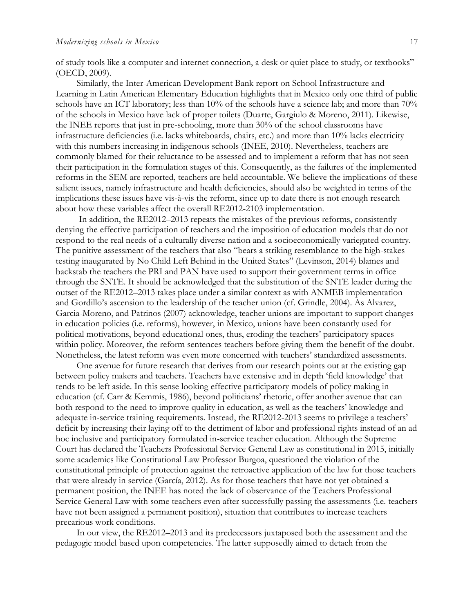of study tools like a computer and internet connection, a desk or quiet place to study, or textbooks" (OECD, 2009).

Similarly, the Inter-American Development Bank report on School Infrastructure and Learning in Latin American Elementary Education highlights that in Mexico only one third of public schools have an ICT laboratory; less than 10% of the schools have a science lab; and more than 70% of the schools in Mexico have lack of proper toilets (Duarte, Gargiulo & Moreno, 2011). Likewise, the INEE reports that just in pre-schooling, more than 30% of the school classrooms have infrastructure deficiencies (i.e. lacks whiteboards, chairs, etc.) and more than 10% lacks electricity with this numbers increasing in indigenous schools (INEE, 2010). Nevertheless, teachers are commonly blamed for their reluctance to be assessed and to implement a reform that has not seen their participation in the formulation stages of this. Consequently, as the failures of the implemented reforms in the SEM are reported, teachers are held accountable. We believe the implications of these salient issues, namely infrastructure and health deficiencies, should also be weighted in terms of the implications these issues have vis-à-vis the reform, since up to date there is not enough research about how these variables affect the overall RE2012-2103 implementation.

In addition, the RE2012–2013 repeats the mistakes of the previous reforms, consistently denying the effective participation of teachers and the imposition of education models that do not respond to the real needs of a culturally diverse nation and a socioeconomically variegated country. The punitive assessment of the teachers that also "bears a striking resemblance to the high-stakes testing inaugurated by No Child Left Behind in the United States" (Levinson, 2014) blames and backstab the teachers the PRI and PAN have used to support their government terms in office through the SNTE. It should be acknowledged that the substitution of the SNTE leader during the outset of the RE2012–2013 takes place under a similar context as with ANMEB implementation and Gordillo's ascension to the leadership of the teacher union (cf. Grindle, 2004). As Alvarez, Garcia-Moreno, and Patrinos (2007) acknowledge, teacher unions are important to support changes in education policies (i.e. reforms), however, in Mexico, unions have been constantly used for political motivations, beyond educational ones, thus, eroding the teachers' participatory spaces within policy. Moreover, the reform sentences teachers before giving them the benefit of the doubt. Nonetheless, the latest reform was even more concerned with teachers' standardized assessments.

One avenue for future research that derives from our research points out at the existing gap between policy makers and teachers. Teachers have extensive and in depth 'field knowledge' that tends to be left aside. In this sense looking effective participatory models of policy making in education (cf. Carr & Kemmis, 1986), beyond politicians' rhetoric, offer another avenue that can both respond to the need to improve quality in education, as well as the teachers' knowledge and adequate in-service training requirements. Instead, the RE2012-2013 seems to privilege a teachers' deficit by increasing their laying off to the detriment of labor and professional rights instead of an ad hoc inclusive and participatory formulated in-service teacher education. Although the Supreme Court has declared the Teachers Professional Service General Law as constitutional in 2015, initially some academics like Constitutional Law Professor Burgoa, questioned the violation of the constitutional principle of protection against the retroactive application of the law for those teachers that were already in service (García, 2012). As for those teachers that have not yet obtained a permanent position, the INEE has noted the lack of observance of the Teachers Professional Service General Law with some teachers even after successfully passing the assessments (i.e. teachers have not been assigned a permanent position), situation that contributes to increase teachers precarious work conditions.

In our view, the RE2012–2013 and its predecessors juxtaposed both the assessment and the pedagogic model based upon competencies. The latter supposedly aimed to detach from the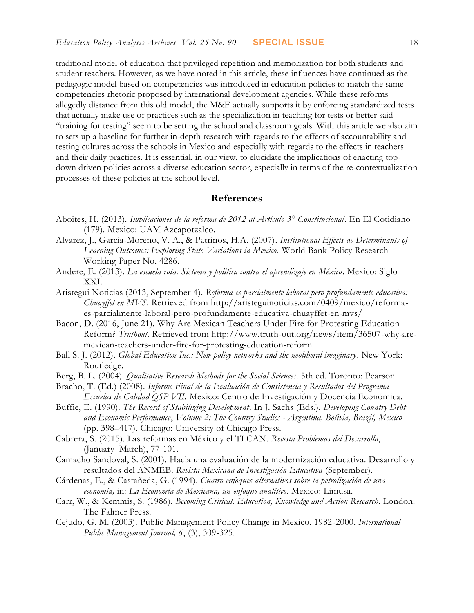traditional model of education that privileged repetition and memorization for both students and student teachers. However, as we have noted in this article, these influences have continued as the pedagogic model based on competencies was introduced in education policies to match the same competencies rhetoric proposed by international development agencies. While these reforms allegedly distance from this old model, the M&E actually supports it by enforcing standardized tests that actually make use of practices such as the specialization in teaching for tests or better said "training for testing" seem to be setting the school and classroom goals. With this article we also aim to sets up a baseline for further in-depth research with regards to the effects of accountability and testing cultures across the schools in Mexico and especially with regards to the effects in teachers and their daily practices. It is essential, in our view, to elucidate the implications of enacting topdown driven policies across a diverse education sector, especially in terms of the re-contextualization processes of these policies at the school level.

## **References**

- Aboites, H. (2013). *Implicaciones de la reforma de 2012 al Artículo 3° Constitucional*. En El Cotidiano (179). Mexico: UAM Azcapotzalco.
- Alvarez, J., Garcia-Moreno, V. A., & Patrinos, H.A. (2007). *Institutional Effects as Determinants of Learning Outcomes: Exploring State Variations in Mexico.* World Bank Policy Research Working Paper No. 4286.
- Andere, E. (2013). *La escuela rota. Sistema y política contra el aprendizaje en México*. Mexico: Siglo XXI.
- Aristegui Noticias (2013, September 4). *Reforma es parcialmente laboral pero profundamente educativa: Chuayffet en MVS*. Retrieved from http://aristeguinoticias.com/0409/mexico/reformaes-parcialmente-laboral-pero-profundamente-educativa-chuayffet-en-mvs/
- Bacon, D. (2016, June 21). Why Are Mexican Teachers Under Fire for Protesting Education Reform? *Truthout.* Retrieved from http://www.truth-out.org/news/item/36507-why-aremexican-teachers-under-fire-for-protesting-education-reform
- Ball S. J. (2012). *Global Education Inc.: New policy networks and the neoliberal imaginary*. New York: Routledge.
- Berg, B. L. (2004). *Qualitative Research Methods for the Social Sciences*. 5th ed. Toronto: Pearson.
- Bracho, T. (Ed.) (2008). *Informe Final de la Evaluación de Consistencia y Resultados del Programa Escuelas de Calidad QSP VII.* Mexico: Centro de Investigación y Docencia Económica.
- Buffie, E. (1990). *The Record of Stabilizing Development*. In J. Sachs (Eds.). *Developing Country Debt and Economic Performance*, *Volume 2: The Country Studies - Argentina, Bolivia, Brazil, Mexico* (pp. 398–417). Chicago: University of Chicago Press.
- Cabrera, S. (2015). Las reformas en México y el TLCAN. *Revista Problemas del Desarrollo*, (January–March), 77-101.
- Camacho Sandoval, S. (2001). Hacia una evaluación de la modernización educativa. Desarrollo y resultados del ANMEB. *Revista Mexicana de Investigación Educativa* (September).
- Cárdenas, E., & Castañeda, G. (1994). *Cuatro enfoques alternativos sobre la petrolización de una economía,* in: *La Economía de Mexicana, un enfoque analítico*. Mexico: Limusa.
- Carr, W., & Kemmis, S. (1986). *Becoming Critical. Education, Knowledge and Action Research*. London: The Falmer Press.
- Cejudo, G. M. (2003). Public Management Policy Change in Mexico, 1982-2000. *International Public Management Journal, 6*, (3), 309-325.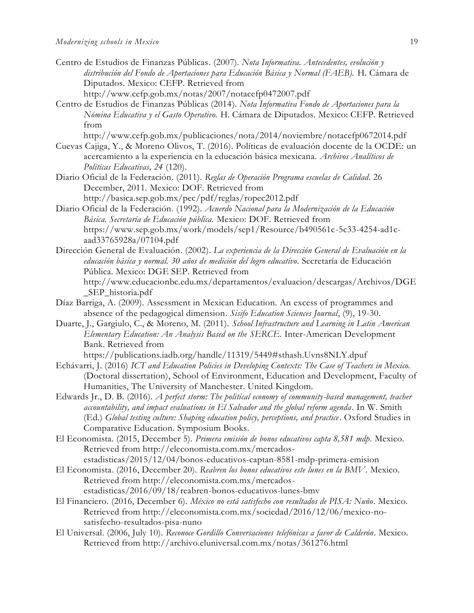- Centro de Estudios de Finanzas Públicas. (2007). *Nota Informativa. Antecedentes, evolución y distribución del Fondo de Aportaciones para Educación Básica y Normal (FAEB).* H. Cámara de Diputados. Mexico: CEFP. Retrieved from http://www.cefp.gob.mx/notas/2007/notacefp0472007.pdf
- Centro de Estudios de Finanzas Públicas (2014). *Nota Informativa Fondo de Aportaciones para la Nómina Educativa y el Gasto Operativo.* H. Cámara de Diputados. Mexico: CEFP. Retrieved from

http://www.cefp.gob.mx/publicaciones/nota/2014/noviembre/notacefp0672014.pdf

- Cuevas Cajiga, Y., & Moreno Olivos, T. (2016). Políticas de evaluación docente de la OCDE: un acercamiento a la experiencia en la educación básica mexicana. *Archivos Analíticos de Políticas Educativas, 24* (120).
- Diario Oficial de la Federación. (2011). *Reglas de Operación Programa escuelas de Calidad*. 26 December, 2011. Mexico: DOF. Retrieved from http://basica.sep.gob.mx/pec/pdf/reglas/ropec2012.pdf
- Diario Oficial de la Federación. (1992). *Acuerdo Nacional para la Modernización de la Educación Básica. Secretaría de Educación pública.* Mexico: DOF. Retrieved from https://www.sep.gob.mx/work/models/sep1/Resource/b490561c-5c33-4254-ad1caad33765928a/07104.pdf
- Dirección General de Evaluación. (2002). *La experiencia de la Dirección General de Evaluación en la educación básica y normal. 30 años de medición del logro educativo*. Secretaría de Educación Pública. Mexico: DGE SEP. Retrieved from http://www.educacionbc.edu.mx/departamentos/evaluacion/descargas/Archivos/DGE
	- \_SEP\_historia.pdf
- Díaz Barriga, A. (2009). Assessment in Mexican Education. An excess of programmes and absence of the pedagogical dimension. *Sisifo Education Sciences Journal*, (9), 19-30.
- Duarte, J., Gargiulo, C., & Moreno, M. (2011). *School Infrastructure and Learning in Latin American Elementary Education: An Analysis Based on the SERCE.* Inter-American Development Bank. Retrieved from

https://publications.iadb.org/handle/11319/5449#sthash.Uvns8NLY.dpuf

- Echávarri, J. (2016) *ICT and Education Policies in Developing Contexts: The Case of Teachers in Mexico.* (Doctoral dissertation), School of Environment, Education and Development, Faculty of Humanities, The University of Manchester. United Kingdom.
- Edwards Jr., D. B. (2016). *A perfect storm: The political economy of community-based management, teacher accountability, and impact evaluations in El Salvador and the global reform agenda*. In W. Smith (Ed.) *Global testing culture: Shaping education policy, perceptions, and practice*. Oxford Studies in Comparative Education. Symposium Books.
- El Economista. (2015, December 5). *Primera emisión de bonos educativos capta 8,581 mdp.* Mexico. Retrieved from http://eleconomista.com.mx/mercadosestadisticas/2015/12/04/bonos-educativos-captan-8581-mdp-primera-emision
- El Economista. (2016, December 20). *Reabren los bonos educativos este lunes en la BMV.* Mexico. Retrieved from http://eleconomista.com.mx/mercadosestadisticas/2016/09/18/reabren-bonos-educativos-lunes-bmv
- El Financiero. (2016, December 6). *México no está satisfecho con resultados de PISA: Nuño.* Mexico. Retrieved from http://eleconomista.com.mx/sociedad/2016/12/06/mexico-nosatisfecho-resultados-pisa-nuno
- El Universal. (2006, July 10). *Reconoce Gordillo Conversaciones telefónicas a favor de Calderón*. Mexico. Retrieved from http://archivo.eluniversal.com.mx/notas/361276.html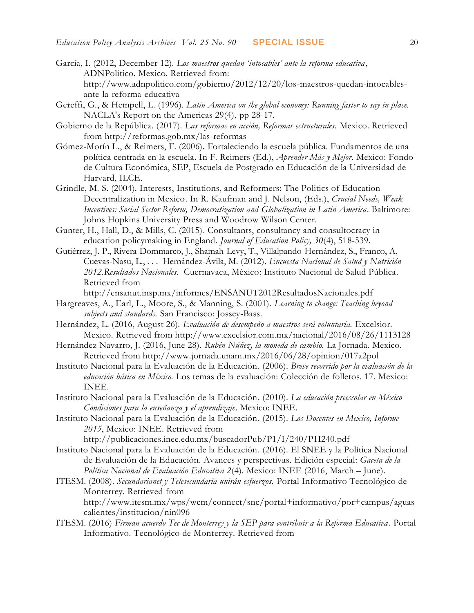- García, I. (2012, December 12). *Los maestros quedan 'intocables' ante la reforma educativa*, ADNPolítico. Mexico. Retrieved from: http://www.adnpolitico.com/gobierno/2012/12/20/los-maestros-quedan-intocablesante-la-reforma-educativa
- Gereffi, G., & Hempell, L. (1996). *Latin America on the global economy: Running faster to say in place.* NACLA's Report on the Americas 29(4), pp 28-17.
- Gobierno de la República. (2017). *Las reformas en acción, Reformas estructurales.* Mexico. Retrieved from http://reformas.gob.mx/las-reformas
- Gómez-Morín L., & Reimers, F. (2006). Fortaleciendo la escuela pública. Fundamentos de una política centrada en la escuela. In F. Reimers (Ed.), *Aprender Más y Mejor*. Mexico: Fondo de Cultura Económica, SEP, Escuela de Postgrado en Educación de la Universidad de Harvard, ILCE.
- Grindle, M. S. (2004). Interests, Institutions, and Reformers: The Politics of Education Decentralization in Mexico. In R. Kaufman and J. Nelson, (Eds.), *Crucial Needs, Weak Incentives: Social Sector Reform, Democratization and Globalization in Latin America*. Baltimore: Johns Hopkins University Press and Woodrow Wilson Center.
- Gunter, H., Hall, D., & Mills, C. (2015). Consultants, consultancy and consultocracy in education policymaking in England. *Journal of Education Policy, 30*(4), 518-539.
- Gutiérrez, J. P., Rivera-Dommarco, J., Shamah-Levy, T., Villalpando-Hernández, S., Franco, A, Cuevas-Nasu, L., . . . Hernández-Ávila, M. (2012). *Encuesta Nacional de Salud y Nutrición 2012*.*Resultados Nacionales*. Cuernavaca, México: Instituto Nacional de Salud Pública. Retrieved from

http://ensanut.insp.mx/informes/ENSANUT2012ResultadosNacionales.pdf

- Hargreaves, A., Earl, L., Moore, S., & Manning, S. (2001). *Learning to change: Teaching beyond subjects and standards.* San Francisco: Jossey-Bass.
- Hernández, L. (2016, August 26). *Evaluación de desempeño a maestros será voluntaria.* Excelsior. Mexico. Retrieved from http://www.excelsior.com.mx/nacional/2016/08/26/1113128
- Hernández Navarro, J. (2016, June 28). *Rubén Núñez, la moneda de cambio.* La Jornada. Mexico. Retrieved from http://www.jornada.unam.mx/2016/06/28/opinion/017a2pol
- Instituto Nacional para la Evaluación de la Educación. (2006). *Breve recorrido por la evaluación de la educación básica en México.* Los temas de la evaluación: Colección de folletos. 17. Mexico: INEE.
- Instituto Nacional para la Evaluación de la Educación. (2010). *La educación preescolar en México Condiciones para la enseñanza y el aprendizaje*. Mexico: INEE.
- Instituto Nacional para la Evaluación de la Educación. (2015). *Los Docentes en Mexico, Informe 2015*, Mexico: INEE. Retrieved from

http://publicaciones.inee.edu.mx/buscadorPub/P1/I/240/P1I240.pdf

- Instituto Nacional para la Evaluación de la Educación. (2016). El SNEE y la Política Nacional de Evaluación de la Educación. Avances y perspectivas*.* Edición especial: *Gaceta de la Política Nacional de Evaluación Educativa 2*(4). Mexico: INEE (2016, March – June).
- ITESM. (2008). *Secundarianet y Telesecundaria unirán esfuerzos.* Portal Informativo Tecnológico de Monterrey. Retrieved from

http://www.itesm.mx/wps/wcm/connect/snc/portal+informativo/por+campus/aguas calientes/institucion/nin096

ITESM. (2016) *Firman acuerdo Tec de Monterrey y la SEP para contribuir a la Reforma Educativa* . Portal Informativo. Tecnológico de Monterrey. Retrieved from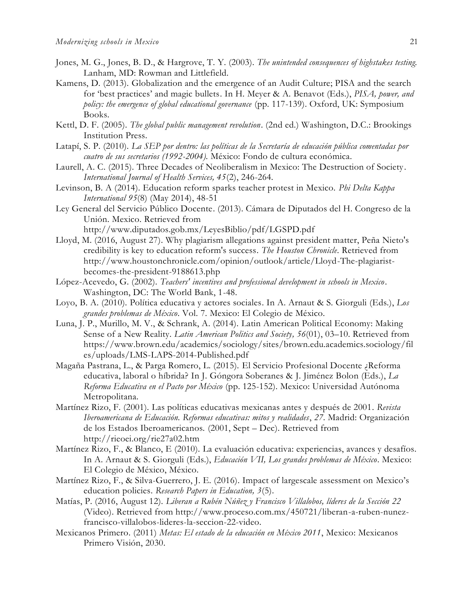- Jones, M. G., Jones, B. D., & Hargrove, T. Y. (2003). *The unintended consequences of highstakes testing.* Lanham, MD: Rowman and Littlefield.
- Kamens, D. (2013). Globalization and the emergence of an Audit Culture; PISA and the search for 'best practices' and magic bullets. In H. Meyer & A. Benavot (Eds.), *PISA, power, and policy: the emergence of global educational governance* (pp. 117-139). Oxford, UK: Symposium Books.
- Kettl, D. F. (2005). *The global public management revolution*. (2nd ed.) Washington, D.C.: Brookings Institution Press.
- Latapí, S. P. (2010). *La SEP por dentro: las políticas de la Secretaría de educación pública comentadas por cuatro de sus secretarios (1992-2004).* México: Fondo de cultura económica.
- Laurell, A. C. (2015). Three Decades of Neoliberalism in Mexico: The Destruction of Society. *International Journal of Health Services, 45*(2), 246-264.
- Levinson, B. A (2014). Education reform sparks teacher protest in Mexico. *Phi Delta Kappa International 95*(8) (May 2014), 48-51
- Ley General del Servicio Público Docente. (2013). Cámara de Diputados del H. Congreso de la Unión. Mexico. Retrieved from http://www.diputados.gob.mx/LeyesBiblio/pdf/LGSPD.pdf
- Lloyd, M. (2016, August 27). Why plagiarism allegations against president matter, Peña Nieto's credibility is key to education reform's success*. The Houston Chronicle*. Retrieved from http://www.houstonchronicle.com/opinion/outlook/article/Lloyd-The-plagiaristbecomes-the-president-9188613.php
- López-Acevedo, G. (2002). *Teachers' incentives and professional development in schools in Mexico*. Washington, DC: The World Bank, 1-48.
- Loyo, B. A. (2010). Política educativa y actores sociales. In A. Arnaut & S. Giorguli (Eds.), *Los grandes problemas de México*. Vol. 7. Mexico: El Colegio de México.
- Luna, J. P., Murillo, M. V., & Schrank, A. (2014). Latin American Political Economy: Making Sense of a New Reality. *Latin American Politics and Society, 56*(01), 03–10. Retrieved from https://www.brown.edu/academics/sociology/sites/brown.edu.academics.sociology/fil es/uploads/LMS-LAPS-2014-Published.pdf
- Magaña Pastrana, L., & Parga Romero, L. (2015). El Servicio Profesional Docente ¿Reforma educativa, laboral o híbrida? In J. Góngora Soberanes & J. Jiménez Bolon (Eds.), *La Reforma Educativa en el Pacto por México* (pp. 125-152). Mexico: Universidad Autónoma Metropolitana.
- Martínez Rizo, F. (2001). Las políticas educativas mexicanas antes y después de 2001*. Revista Iberoamericana de Educación. Reformas educativas: mitos y realidades*, *27*. Madrid: Organización de los Estados Iberoamericanos. (2001, Sept – Dec). Retrieved from http://rieoei.org/rie27a02.htm
- Martínez Rizo, F., & Blanco, E (2010). La evaluación educativa: experiencias, avances y desafíos*.* In A. Arnaut & S. Giorguli (Eds.), *Educación VII, Los grandes problemas de México*. Mexico: El Colegio de México, México.
- Martínez Rizo, F., & Silva-Guerrero, J. E. (2016). Impact of largescale assessment on Mexico's education policies. *Research Papers in Education, 3*(5).
- Matías, P. (2016, August 12). *Liberan a Rubén Núñez y Francisco Villalobos, líderes de la Sección 22* (Video). Retrieved from http://www.proceso.com.mx/450721/liberan-a-ruben-nunezfrancisco-villalobos-lideres-la-seccion-22-video.
- Mexicanos Primero. (2011) *Metas: El estado de la educación en México 2011*, Mexico: Mexicanos Primero Visión, 2030.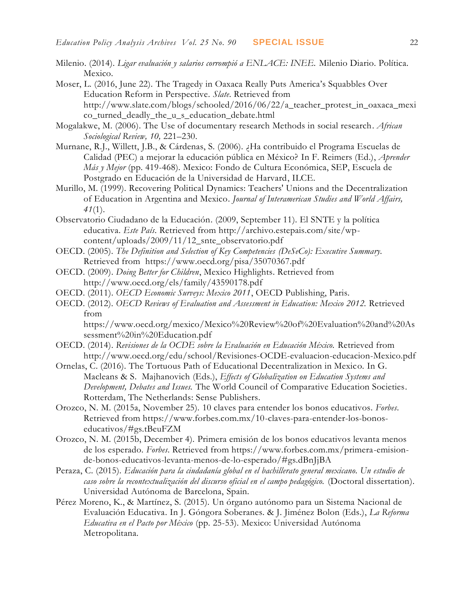- Milenio. (2014). *Ligar evaluación y salarios corrompió a ENLACE: INEE.* Milenio Diario. Política. Mexico.
- Moser, L. (2016, June 22). The Tragedy in Oaxaca Really Puts America's Squabbles Over Education Reform in Perspective*. Slate*. Retrieved from http://www.slate.com/blogs/schooled/2016/06/22/a\_teacher\_protest\_in\_oaxaca\_mexi co\_turned\_deadly\_the\_u\_s\_education\_debate.html
- Mogalakwe, M. (2006). The Use of documentary research Methods in social research. *African Sociological Review, 10,* 221–230.
- Murnane, R.J., Willett, J.B., & Cárdenas, S. (2006). ¿Ha contribuido el Programa Escuelas de Calidad (PEC) a mejorar la educación pública en México? In F. Reimers (Ed.), *Aprender Más y Mejor* (pp. 419-468). Mexico: Fondo de Cultura Económica, SEP, Escuela de Postgrado en Educación de la Universidad de Harvard, ILCE.
- Murillo, M. (1999). Recovering Political Dynamics: Teachers' Unions and the Decentralization of Education in Argentina and Mexico. *Journal of Interamerican Studies and World Affairs, 41*(1).
- Observatorio Ciudadano de la Educación. (2009, September 11). El SNTE y la política educativa. *Este País*. Retrieved from http://archivo.estepais.com/site/wpcontent/uploads/2009/11/12\_snte\_observatorio.pdf
- OECD. (2005). *The Definition and Selection of Key Competencies (DeSeCo): Executive Summary.* Retrieved from https://www.oecd.org/pisa/35070367.pdf
- OECD. (2009). *Doing Better for Children*, Mexico Highlights. Retrieved from http://www.oecd.org/els/family/43590178.pdf
- OECD. (2011). *OECD Economic Surveys: Mexico 2011*, OECD Publishing, Paris.
- OECD. (2012). *OECD Reviews of Evaluation and Assessment in Education: Mexico 2012.* Retrieved from

https://www.oecd.org/mexico/Mexico%20Review%20of%20Evaluation%20and%20As sessment%20in%20Education.pdf

- OECD. (2014). *Revisiones de la OCDE sobre la Evaluación en Educación México.* Retrieved from http://www.oecd.org/edu/school/Revisiones-OCDE-evaluacion-educacion-Mexico.pdf
- Ornelas, C. (2016). The Tortuous Path of Educational Decentralization in Mexico*.* In G. Macleans & S. Majhanovich (Eds.), *Effects of Globalization on Education Systems and Development, Debates and Issues.* The World Council of Comparative Education Societies. Rotterdam, The Netherlands: Sense Publishers.
- Orozco, N. M. (2015a, November 25). 10 claves para entender los bonos educativos. *Forbes*. Retrieved from https://www.forbes.com.mx/10-claves-para-entender-los-bonoseducativos/#gs.tBeuFZM
- Orozco, N. M. (2015b, December 4). Primera emisión de los bonos educativos levanta menos de los esperado. *Forbes*. Retrieved from https://www.forbes.com.mx/primera-emisionde-bonos-educativos-levanta-menos-de-lo-esperado/#gs.dBnJjBA
- Peraza, C. (2015). *Educación para la ciudadanía global en el bachillerato general mexicano. Un estudio de caso sobre la recontextualización del discurso oficial en el campo pedagógico.* (Doctoral dissertation). Universidad Autónoma de Barcelona, Spain.
- Pérez Moreno, K., & Martínez, S. (2015). Un órgano autónomo para un Sistema Nacional de Evaluación Educativa. In J. Góngora Soberanes. & J. Jiménez Bolon (Eds.), *La Reforma Educativa en el Pacto por México* (pp. 25-53). Mexico: Universidad Autónoma Metropolitana.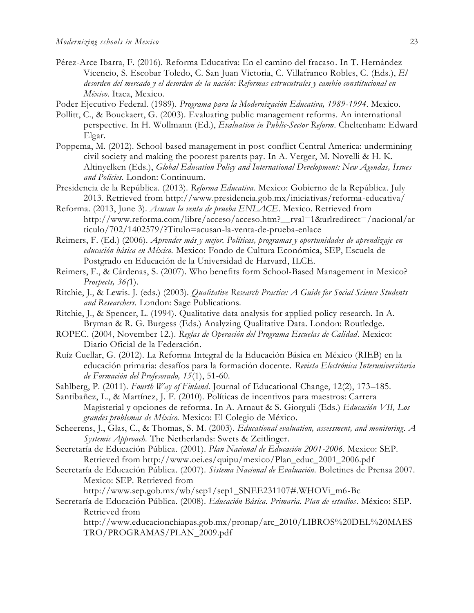- Pérez-Arce Ibarra, F. (2016). Reforma Educativa: En el camino del fracaso. In T. Hernández Vicencio, S. Escobar Toledo, C. San Juan Victoria, C. Villafranco Robles, C. (Eds.), *El desorden del mercado y el desorden de la nación: Reformas estrucutrales y cambio constitucional en México*. Itaca, Mexico.
- Poder Ejecutivo Federal. (1989). *Programa para la Modernización Educativa, 1989-1994*. Mexico.
- Pollitt, C., & Bouckaert, G. (2003). Evaluating public management reforms. An international perspective. In H. Wollmann (Ed.), *Evaluation in Public-Sector Reform*. Cheltenham: Edward Elgar.
- Poppema, M. (2012). School-based management in post-conflict Central America: undermining civil society and making the poorest parents pay. In A. Verger, M. Novelli & H. K. Altinyelken (Eds.), *Global Education Policy and International Development: New Agendas, Issues and Policies.* London: Continuum.
- Presidencia de la República. (2013). *Reforma Educativa*. Mexico: Gobierno de la República. July 2013. Retrieved from http://www.presidencia.gob.mx/iniciativas/reforma-educativa/
- Reforma. (2013, June 3). *Acusan la venta de prueba ENLACE*. Mexico. Retrieved from http://www.reforma.com/libre/acceso/acceso.htm?\_\_rval=1&urlredirect=/nacional/ar ticulo/702/1402579/?Titulo=acusan-la-venta-de-prueba-enlace
- Reimers, F. (Ed.) (2006). *Aprender más y mejor. Políticas, programas y oportunidades de aprendizaje en educación básica en México.* Mexico: Fondo de Cultura Económica, SEP, Escuela de Postgrado en Educación de la Universidad de Harvard, ILCE.
- Reimers, F., & Cárdenas, S. (2007). Who benefits form School-Based Management in Mexico? *Prospects, 36(*1).
- Ritchie, J., & Lewis. J. (eds.) (2003). *Qualitative Research Practice: A Guide for Social Science Students and Researchers.* London: Sage Publications.
- Ritchie, J., & Spencer, L. (1994). Qualitative data analysis for applied policy research*.* In A. Bryman & R. G. Burgess (Eds.) Analyzing Qualitative Data. London: Routledge.
- ROPEC. (2004, November 12.). *Reglas de Operación del Programa Escuelas de Calidad*. Mexico: Diario Oficial de la Federación.
- Ruíz Cuellar, G. (2012). La Reforma Integral de la Educación Básica en México (RIEB) en la educación primaria: desafíos para la formación docente. *Revista Electrónica Interuniversitaria de Formación del Profesorado, 15*(1), 51-60.
- Sahlberg, P. (2011). *Fourth Way of Finland*. Journal of Educational Change, 12(2), 173–185.
- Santibañez, L., & Martínez, J. F. (2010). Políticas de incentivos para maestros: Carrera Magisterial y opciones de reforma. In A. Arnaut & S. Giorguli (Eds.) *Educación VII, Los grandes problemas de México.* Mexico: El Colegio de México.
- Scheerens, J., Glas, C., & Thomas, S. M. (2003). *Educational evaluation, assessment, and monitoring. A Systemic Approach.* The Netherlands: Swets & Zeitlinger.
- Secretaría de Educación Pública. (2001). *Plan Nacional de Educación 2001-2006.* Mexico: SEP. Retrieved from http://www.oei.es/quipu/mexico/Plan\_educ\_2001\_2006.pdf
- Secretaría de Educación Pública. (2007). *Sistema Nacional de Evaluación.* Boletines de Prensa 2007. Mexico: SEP. Retrieved from

http://www.sep.gob.mx/wb/sep1/sep1\_SNEE231107#.WHOVi\_m6-Bc

Secretaría de Educación Pública. (2008). *Educación Básica. Primaria. Plan de estudios*. México: SEP. Retrieved from

http://www.educacionchiapas.gob.mx/pronap/arc\_2010/LIBROS%20DEL%20MAES TRO/PROGRAMAS/PLAN\_2009.pdf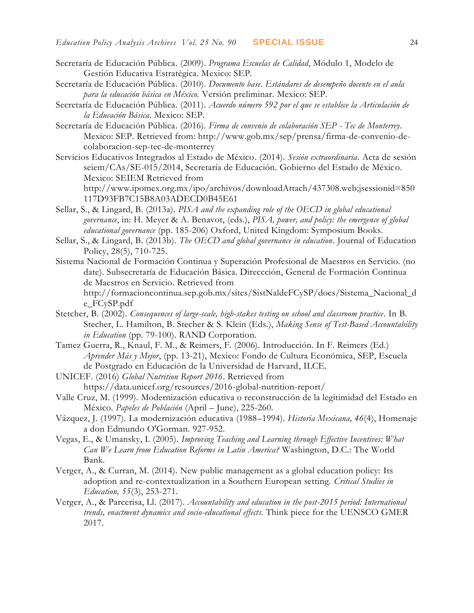- Secretaría de Educación Pública. (2009). *Programa Escuelas de Calidad*, Módulo 1, Modelo de Gestión Educativa Estratégica. Mexico: SEP.
- Secretaría de Educación Pública. (2010). *Documento base. Estándares de desempeño docente en el aula para la educación básica en México.* Versión preliminar. Mexico: SEP.
- Secretaría de Educación Pública. (2011). *Acuerdo número 592 por el que se establece la Articulación de la Educación Básica*. Mexico: SEP.
- Secretaría de Educación Pública. (2016). *Firma de convenio de colaboración SEP - Tec de Monterrey.*  Mexico: SEP. Retrieved from: http://www.gob.mx/sep/prensa/firma-de-convenio-decolaboracion-sep-tec-de-monterrey
- Servicios Educativos Integrados al Estado de México. (2014). *Sesión extraordinaria*. Acta de sesión seiem/CAs/SE-015/2014, Secretaría de Educación. Gobierno del Estado de México. Mexico: SEIEM Retrieved from

http://www.ipomex.org.mx/ipo/archivos/downloadAttach/437308.web;jsessionid=850 117D93FB7C15B8A03ADECD0B45E61

- Sellar, S., & Lingard, B. (2013a). *PISA and the expanding role of the OECD in global educational governance*, in: H. Meyer & A. Benavot, (eds.), *PISA, power, and policy: the emergence of global educational governance* (pp. 185-206) Oxford, United Kingdom: Symposium Books.
- Sellar, S., & Lingard, B. (2013b). *The OECD and global governance in education*. Journal of Education Policy, 28(5), 710-725.
- Sistema Nacional de Formación Continua y Superación Profesional de Maestros en Servicio. (no date). Subsecretaría de Educación Básica. Direccción, General de Formación Continua de Maestros en Servicio. Retrieved from http://formacioncontinua.sep.gob.mx/sites/SistNaldeFCySP/docs/Sistema\_Nacional\_d e\_FCySP.pdf
- Stetcher, B. (2002). *Consequences of large-scale, high-stakes testing on school and classroom practice*. In B. Stecher, L. Hamilton, B. Stecher & S. Klein (Eds.), *Making Sense of Test-Based Accountability in Education* (pp. 79-100). RAND Corporation.
- Tamez Guerra, R., Knaul, F. M., & Reimers, F. (2006). Introducción. In F. Reimers (Ed.) *Aprender Más y Mejor*, (pp. 13-21), Mexico: Fondo de Cultura Económica, SEP, Escuela de Postgrado en Educación de la Universidad de Harvard, ILCE.
- UNICEF. (2016) *Global Nutrition Report 2016*. Retrieved from https://data.unicef.org/resources/2016-global-nutrition-report/
- Valle Cruz, M. (1999). Modernización educativa o reconstrucción de la legitimidad del Estado en México*. Papeles de Población* (April – June), 225-260.
- Vázquez, J. (1997). La modernización educativa (1988–1994). *Historia Mexicana, 46*(4), Homenaje a don Edmundo O'Gorman. 927-952.
- Vegas, E., & Umansky, I. (2005). *Improving Teaching and Learning through Effective Incentives: What Can We Learn from Education Reforms in Latin America?* Washington, D.C.: The World Bank.
- Verger, A., & Curran, M. (2014). New public management as a global education policy: Its adoption and re-contextualization in a Southern European setting. *Critical Studies in Education, 55*(3), 253-271.
- Verger, A., & Parcerisa, Ll. (2017). *Accountability and education in the post-2015 period: International trends, enactment dynamics and socio-educational effects.* Think piece for the UENSCO GMER 2017.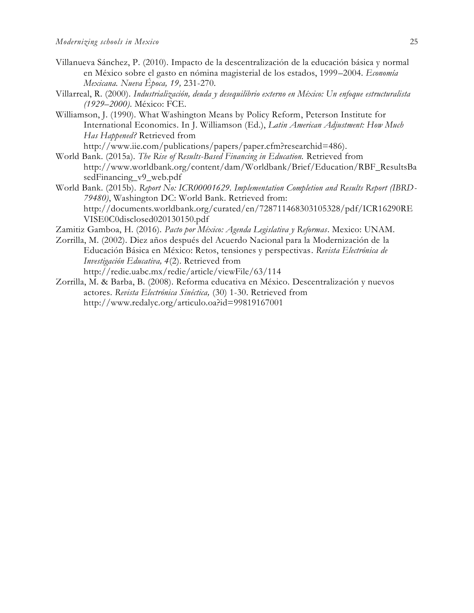- Villanueva Sánchez, P. (2010). Impacto de la descentralización de la educación básica y normal en México sobre el gasto en nómina magisterial de los estados, 1999–2004. *Economía Mexicana. Nueva Época, 19,* 231-270.
- Villarreal, R. (2000). *Industrialización, deuda y desequilibrio externo en México: Un enfoque estructuralista (1929–2000)*. México: FCE.
- Williamson, J. (1990). What Washington Means by Policy Reform, Peterson Institute for International Economics. In J. Williamson (Ed.), *Latin American Adjustment: How Much Has Happened?* Retrieved from http://www.iie.com/publications/papers/paper.cfm?researchid=486).
- World Bank. (2015a). *The Rise of Results-Based Financing in Education.* Retrieved from http://www.worldbank.org/content/dam/Worldbank/Brief/Education/RBF\_ResultsBa sedFinancing\_v9\_web.pdf
- World Bank. (2015b). *Report No: ICR00001629. Implementation Completion and Results Report (IBRD-79480)*, Washington DC: World Bank. Retrieved from: http://documents.worldbank.org/curated/en/728711468303105328/pdf/ICR16290RE VISE0C0disclosed020130150.pdf
- Zamitiz Gamboa, H. (2016). *Pacto por México: Agenda Legislativa y Reformas*. Mexico: UNAM.
- Zorrilla, M. (2002). Diez años después del Acuerdo Nacional para la Modernización de la Educación Básica en México: Retos, tensiones y perspectivas. *Revista Electrónica de Investigación Educativa, 4*(2). Retrieved from http://redie.uabc.mx/redie/article/viewFile/63/114
- Zorrilla, M. & Barba, B. (2008). Reforma educativa en México. Descentralización y nuevos actores. *Revista Electrónica Sinéctica,* (30) 1-30. Retrieved from http://www.redalyc.org/articulo.oa?id=99819167001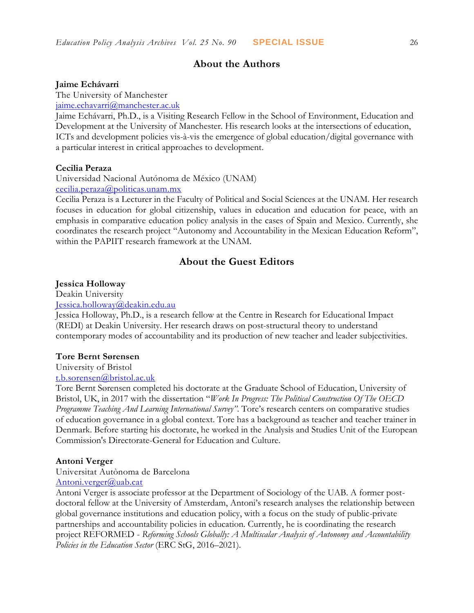## **About the Authors**

#### **Jaime Echávarri**

The University of Manchester

[jaime.echavarri@manchester.ac.uk](mailto:jaime.echavarri@manchester.ac.uk)

Jaime Echávarri, Ph.D., is a Visiting Research Fellow in the School of Environment, Education and Development at the University of Manchester. His research looks at the intersections of education, ICTs and development policies vis-à-vis the emergence of global education/digital governance with a particular interest in critical approaches to development.

### **Cecilia Peraza**

Universidad Nacional Autónoma de México (UNAM) [cecilia.peraza@politicas.unam.mx](mailto:cecilia.peraza@politicas.unam.mx)

Cecilia Peraza is a Lecturer in the Faculty of Political and Social Sciences at the UNAM. Her research focuses in education for global citizenship, values in education and education for peace, with an emphasis in comparative education policy analysis in the cases of Spain and Mexico. Currently, she coordinates the research project "Autonomy and Accountability in the Mexican Education Reform", within the PAPIIT research framework at the UNAM.

## **About the Guest Editors**

## **Jessica Holloway**

Deakin University [Jessica.holloway@deakin.edu.au](mailto:Jessica.holloway@deakin.edu.au)

Jessica Holloway, Ph.D., is a research fellow at the Centre in Research for Educational Impact (REDI) at Deakin University. Her research draws on post-structural theory to understand contemporary modes of accountability and its production of new teacher and leader subjectivities.

#### **Tore Bernt Sørensen**

University of Bristol

## [t.b.sorensen@bristol.ac.uk](mailto:t.b.sorensen@bristol.ac.uk)

Tore Bernt Sørensen completed his doctorate at the Graduate School of Education, University of Bristol, UK, in 2017 with the dissertation "*Work In Progress: The Political Construction Of The OECD Programme Teaching And Learning International Survey"*. Tore's research centers on comparative studies of education governance in a global context. Tore has a background as teacher and teacher trainer in Denmark. Before starting his doctorate, he worked in the Analysis and Studies Unit of the European Commission's Directorate-General for Education and Culture.

#### **Antoni Verger**

Universitat Autònoma de Barcelona [Antoni.verger@uab.cat](mailto:Antoni.verger@uab.cat)

Antoni Verger is associate professor at the Department of Sociology of the UAB. A former postdoctoral fellow at the University of Amsterdam, Antoni's research analyses the relationship between global governance institutions and education policy, with a focus on the study of public-private partnerships and accountability policies in education. Currently, he is coordinating the research project REFORMED - *Reforming Schools Globally: A Multiscalar Analysis of Autonomy and Accountability Policies in the Education Sector* (ERC StG, 2016–2021).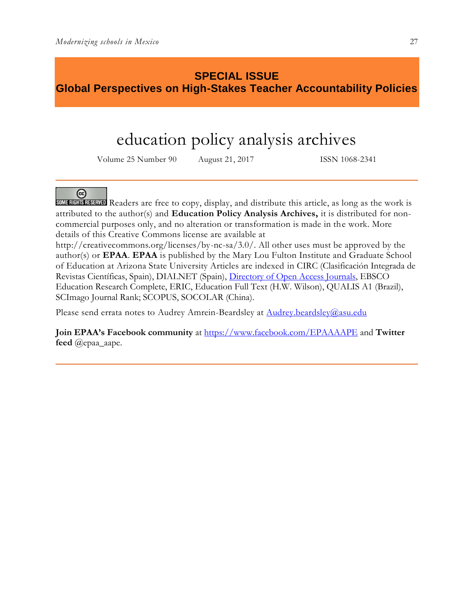## **SPECIAL ISSUE Global Perspectives on High-Stakes Teacher Accountability Policies**

# education policy analysis archives

Volume 25 Number 90 August 21, 2017 ISSN 1068-2341

## $(c)$

SOME RIGHTS RESERVED Readers are free to copy, display, and distribute this article, as long as the work is attributed to the author(s) and **Education Policy Analysis Archives,** it is distributed for noncommercial purposes only, and no alteration or transformation is made in the work. More details of this Creative Commons license are available at

http://creativecommons.org/licenses/by-nc-sa/3.0/. All other uses must be approved by the author(s) or **EPAA**. **EPAA** is published by the Mary Lou Fulton Institute and Graduate School of Education at Arizona State University Articles are indexed in CIRC (Clasificación Integrada de Revistas Científicas, Spain), DIALNET (Spain), [Directory of Open Access Journals,](http://www.doaj.org/) EBSCO Education Research Complete, ERIC, Education Full Text (H.W. Wilson), QUALIS A1 (Brazil), SCImago Journal Rank; SCOPUS, SOCOLAR (China).

Please send errata notes to Audrey Amrein-Beardsley at [Audrey.beardsley@asu.edu](mailto:Audrey.beardsley@asu.edu)

**Join EPAA's Facebook community** at<https://www.facebook.com/EPAAAAPE> and **Twitter feed** @epaa\_aape.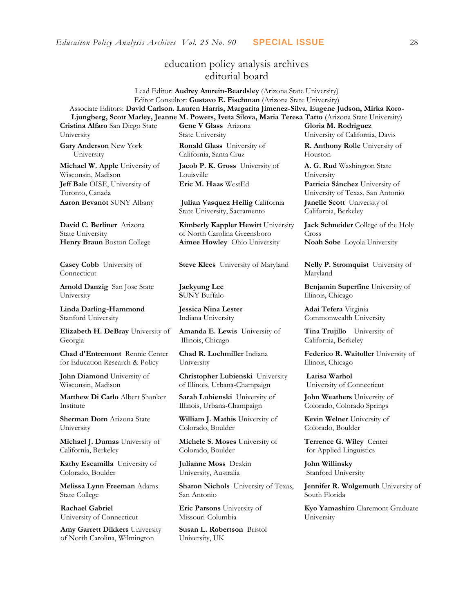## education policy analysis archives editorial board

Lead Editor: **Audrey Amrein-Beardsley** (Arizona State University) Editor Consultor: **Gustavo E. Fischman** (Arizona State University) Associate Editors: **David Carlson. Lauren Harris, Margarita Jimenez-Silva**, **Eugene Judson, Mirka Koro-Ljungberg, Scott Marley, Jeanne M. Powers, Iveta Silova, Maria Teresa Tatto** (Arizona State University)

**Cristina Alfaro** San Diego State University

**Gary Anderson** New York University

**Michael W. Apple** University of Wisconsin, Madison **Jeff Bale** OISE, University of Toronto, Canada **Aaron Bevanot** SUNY Albany **Julian Vasquez Heilig** California

**David C. Berliner** Arizona State University

**Casey Cobb** University of Connecticut

**Arnold Danzig** San Jose State University

**Linda Darling-Hammond**  Stanford University

**Elizabeth H. DeBray** University of Georgia

**Chad d'Entremont** Rennie Center for Education Research & Policy

**John Diamond** University of Wisconsin, Madison

**Matthew Di Carlo** Albert Shanker Institute

**Sherman Dorn** Arizona State University

**Michael J. Dumas** University of California, Berkeley

**Kathy Escamilla** University of Colorado, Boulder

**Melissa Lynn Freeman** Adams State College

**Rachael Gabriel** University of Connecticut

**Amy Garrett Dikkers** University of North Carolina, Wilmington

**Gene V Glass** Arizona State University

**Ronald Glass** University of California, Santa Cruz

**Jacob P. K. Gross** University of Louisville

State University, Sacramento

**Kimberly Kappler Hewitt** University of North Carolina Greensboro **Henry Braun** Boston College **Aimee Howley** Ohio University **Noah Sobe** Loyola University

**Steve Klees** University of Maryland **Nelly P. Stromquist** University of

**Jaekyung Lee S**UNY Buffalo

**Jessica Nina Lester** Indiana University

**Amanda E. Lewis** University of Illinois, Chicago

**Chad R. Lochmiller** Indiana University

**Christopher Lubienski** University of Illinois, Urbana-Champaign

**Sarah Lubienski** University of Illinois, Urbana-Champaign

**William J. Mathis** University of Colorado, Boulder

**Michele S. Moses** University of Colorado, Boulder

**Julianne Moss** Deakin University, Australia

**Sharon Nichols** University of Texas, San Antonio

**Eric Parsons** University of Missouri-Columbia

**Susan L. Robertson** Bristol University, UK

**Gloria M. Rodriguez** University of California, Davis **R. Anthony Rolle** University of

Houston

**A. G. Rud** Washington State University **Eric M. Haas** WestEd **Patricia Sánchez** University of University of Texas, San Antonio **Janelle Scott** University of California, Berkeley

> **Jack Schneider** College of the Holy Cross

Maryland

**Benjamin Superfine** University of Illinois, Chicago

**Adai Tefera** Virginia Commonwealth University

**Tina Trujillo** University of California, Berkeley

**Federico R. Waitoller** University of Illinois, Chicago

**Larisa Warhol** University of Connecticut

**John Weathers** University of Colorado, Colorado Springs

**Kevin Welner** University of Colorado, Boulder

**Terrence G. Wiley** Center for Applied Linguistics

**John Willinsky**  Stanford University

**Jennifer R. Wolgemuth** University of South Florida

**Kyo Yamashiro** Claremont Graduate University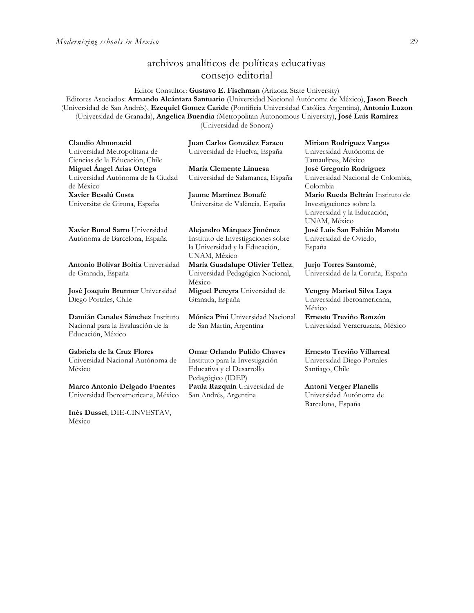## archivos analíticos de políticas educativas consejo editorial

Editor Consultor: **Gustavo E. Fischman** (Arizona State University) Editores Asociados: **Armando Alcántara Santuario** (Universidad Nacional Autónoma de México), **Jason Beech** (Universidad de San Andrés), **Ezequiel Gomez Caride** (Pontificia Universidad Católica Argentina), **Antonio Luzon** (Universidad de Granada), **Angelica Buendia** (Metropolitan Autonomous University), **José Luis Ramírez** (Universidad de Sonora)

| Claudio Almonacid<br>Universidad Metropolitana de                           | Juan Carlos González Faraco<br>Universidad de Huelva, España | Miriam Rodríguez Vargas<br>Universidad Autónoma de                       |
|-----------------------------------------------------------------------------|--------------------------------------------------------------|--------------------------------------------------------------------------|
| Ciencias de la Educación, Chile                                             |                                                              | Tamaulipas, México                                                       |
| Miguel Angel Arias Ortega<br>Universidad Autónoma de la Ciudad<br>de México | María Clemente Linuesa<br>Universidad de Salamanca, España   | José Gregorio Rodríguez<br>Universidad Nacional de Colombia,<br>Colombia |
| Xavier Besalú Costa                                                         | Jaume Martínez Bonafé                                        | Mario Rueda Beltrán Instituto de                                         |
| Universitat de Girona, España                                               | Universitat de València, España                              | Investigaciones sobre la<br>Universidad y la Educación,<br>UNAM, México  |
| Xavier Bonal Sarro Universidad                                              | Alejandro Márquez Jiménez                                    | José Luis San Fabián Maroto                                              |
| Autónoma de Barcelona, España                                               | Instituto de Investigaciones sobre                           | Universidad de Oviedo,                                                   |
|                                                                             | la Universidad y la Educación,<br>UNAM, México               | España                                                                   |
| Antonio Bolívar Boitia Universidad                                          | María Guadalupe Olivier Tellez,                              | Jurjo Torres Santomé,                                                    |
| de Granada, España                                                          | Universidad Pedagógica Nacional,<br>México                   | Universidad de la Coruña, España                                         |
| José Joaquín Brunner Universidad                                            | Miguel Pereyra Universidad de                                | Yengny Marisol Silva Laya                                                |
| Diego Portales, Chile                                                       | Granada, España                                              | Universidad Iberoamericana,<br>México                                    |
| Damián Canales Sánchez Instituto                                            | Mónica Pini Universidad Nacional                             | Ernesto Treviño Ronzón                                                   |
| Nacional para la Evaluación de la<br>Educación, México                      | de San Martín, Argentina                                     | Universidad Veracruzana, México                                          |
| Gabriela de la Cruz Flores                                                  | <b>Omar Orlando Pulido Chaves</b>                            | Ernesto Treviño Villarreal                                               |
| Universidad Nacional Autónoma de                                            | Instituto para la Investigación                              | Universidad Diego Portales                                               |
| México                                                                      | Educativa y el Desarrollo<br>Pedagógico (IDEP)               | Santiago, Chile                                                          |
| <b>Marco Antonio Delgado Fuentes</b>                                        | Paula Razquin Universidad de                                 | <b>Antoni Verger Planells</b>                                            |
| Universidad Iberoamericana, México                                          | San Andrés, Argentina                                        | Universidad Autónoma de                                                  |

**[Inés Dussel](javascript:openRTWindow()**, DIE-CINVESTAV, México

Universidad Autónoma de Barcelona, España